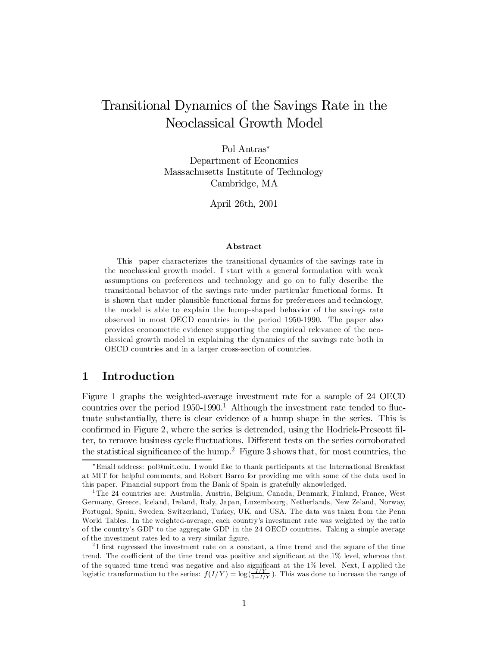# Transitional Dynamics of the Savings Rate in the Neoclassical Growth Model

Pol Antras<sup>\*</sup> Department of Economics Massachusetts Institute of Technology Cambridge, MA

April 26th, 2001

#### Abstract

This paper characterizes the transitional dynamics of the savings rate in the neoclassical growth model. I start with a general formulation with weak assumptions on preferences and technology and go on to fully describe the transitional behavior of the savings rate under particular functional forms. It is shown that under plausible functional forms for preferences and technology, the model is able to explain the hump-shaped behavior of the savings rate observed in most OECD countries in the period 1950-1990. The paper also provides econometric evidence supporting the empirical relevance of the neoclassical growth model in explaining the dynamics of the savings rate both in OECD countries and in a larger cross-section of countries.

# 1 Introduction

Figure 1 graphs the weighted-average investment rate for a sample of 24 OECD countries over the period  $1950-1990$ .<sup>1</sup> Although the investment rate tended to fluctuate substantially, there is clear evidence of a hump shape in the series. This is confirmed in Figure 2, where the series is detrended, using the Hodrick-Prescott filter, to remove business cycle fluctuations. Different tests on the series corroborated the statistical significance of the hump.<sup>2</sup> Figure 3 shows that, for most countries, the

<sup>¤</sup>Email address: pol@mit.edu. I would like to thank participants at the International Breakfast at MIT for helpful comments, and Robert Barro for providing me with some of the data used in this paper. Financial support from the Bank of Spain is gratefully aknowledged.

<sup>1</sup> The 24 countries are: Australia, Austria, Belgium, Canada, Denmark, Finland, France, West Germany, Greece, Iceland, Ireland, Italy, Japan, Luxembourg, Netherlands, New Zeland, Norway, Portugal, Spain, Sweden, Switzerland, Turkey, UK, and USA. The data was taken from the Penn World Tables. In the weighted-average, each country's investment rate was weighted by the ratio of the country's GDP to the aggregate GDP in the 24 OECD countries. Taking a simple average of the investment rates led to a very similar figure.

 $2<sup>2</sup>$ I first regressed the investment rate on a constant, a time trend and the square of the time trend. The coefficient of the time trend was positive and significant at the  $1\%$  level, whereas that of the squared time trend was negative and also significant at the  $1\%$  level. Next, I applied the logistic transformation to the series:  $f(I/Y) = \log(\frac{I/Y}{1 - I/Y})$ . This was done to increase the range of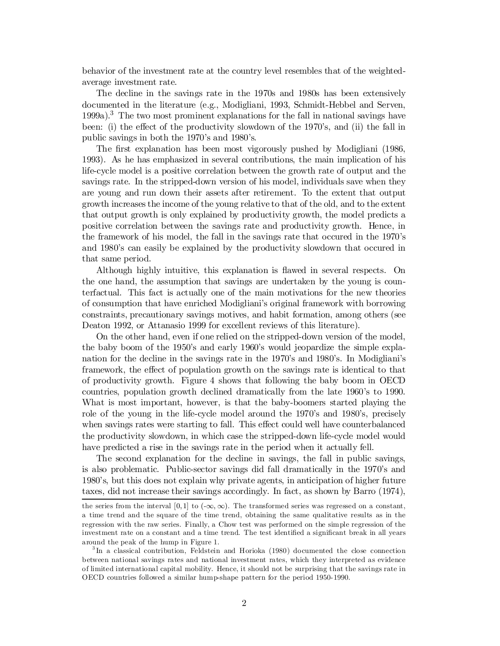behavior of the investment rate at the country level resembles that of the weightedaverage investment rate.

The decline in the savings rate in the 1970s and 1980s has been extensively documented in the literature (e.g., Modigliani, 1993, Schmidt-Hebbel and Serven, 1999a). <sup>3</sup> The two most prominent explanations for the fall in national savings have been: (i) the effect of the productivity slowdown of the  $1970$ 's, and (ii) the fall in public savings in both the 1970's and 1980's.

The first explanation has been most vigorously pushed by Modigliani (1986, 1993). As he has emphasized in several contributions, the main implication of his life-cycle model is a positive correlation between the growth rate of output and the savings rate. In the stripped-down version of his model, individuals save when they are young and run down their assets after retirement. To the extent that output growth increases the income of the young relative to that of the old, and to the extent that output growth is only explained by productivity growth, the model predicts a positive correlation between the savings rate and productivity growth. Hence, in the framework of his model, the fall in the savings rate that occured in the 1970's and 1980's can easily be explained by the productivity slowdown that occured in that same period.

Although highly intuitive, this explanation is ‡awed in several respects. On the one hand, the assumption that savings are undertaken by the young is counterfactual. This fact is actually one of the main motivations for the new theories of consumption that have enriched Modigliani's original framework with borrowing constraints, precautionary savings motives, and habit formation, among others (see Deaton 1992, or Attanasio 1999 for excellent reviews of this literature).

On the other hand, even if one relied on the stripped-down version of the model, the baby boom of the 1950's and early 1960's would jeopardize the simple explanation for the decline in the savings rate in the 1970's and 1980's. In Modigliani's framework, the effect of population growth on the savings rate is identical to that of productivity growth. Figure 4 shows that following the baby boom in OECD countries, population growth declined dramatically from the late 1960's to 1990. What is most important, however, is that the baby-boomers started playing the role of the young in the life-cycle model around the 1970's and 1980's, precisely when savings rates were starting to fall. This effect could well have counterbalanced the productivity slowdown, in which case the stripped-down life-cycle model would have predicted a rise in the savings rate in the period when it actually fell.

The second explanation for the decline in savings, the fall in public savings, is also problematic. Public-sector savings did fall dramatically in the 1970's and 1980's, but this does not explain why private agents, in anticipation of higher future taxes, did not increase their savings accordingly. In fact, as shown by Barro (1974),

the series from the interval [0,1] to  $(-\infty, \infty)$ . The transformed series was regressed on a constant, a time trend and the square of the time trend, obtaining the same qualitative results as in the regression with the raw series. Finally, a Chow test was performed on the simple regression of the investment rate on a constant and a time trend. The test identified a significant break in all years around the peak of the hump in Figure 1.

<sup>3</sup> In a classical contribution, Feldstein and Horioka (1980) documented the close connection between national savings rates and national investment rates, which they interpreted as evidence of limited international capital mobility. Hence, it should not be surprising that the savings rate in OECD countries followed a similar hump-shape pattern for the period 1950-1990.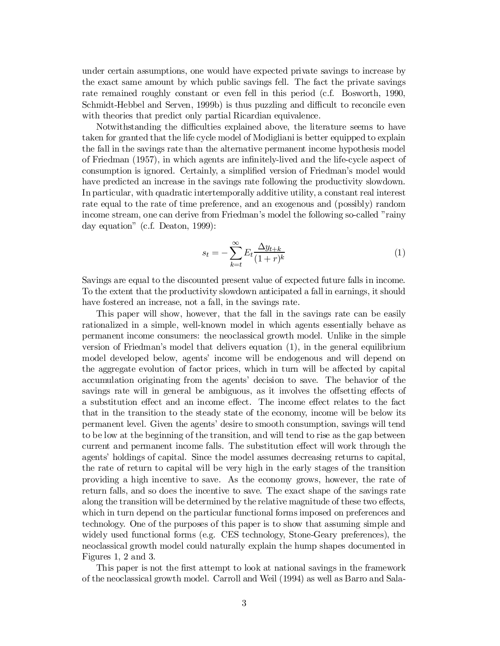under certain assumptions, one would have expected private savings to increase by the exact same amount by which public savings fell. The fact the private savings rate remained roughly constant or even fell in this period (c.f. Bosworth, 1990, Schmidt-Hebbel and Serven, 1999b) is thus puzzling and difficult to reconcile even with theories that predict only partial Ricardian equivalence.

Notwithstanding the difficulties explained above, the literature seems to have taken for granted that the life cycle model of Modigliani is better equipped to explain the fall in the savings rate than the alternative permanent income hypothesis model of Friedman  $(1957)$ , in which agents are infinitely-lived and the life-cycle aspect of consumption is ignored. Certainly, a simplified version of Friedman's model would have predicted an increase in the savings rate following the productivity slowdown. In particular, with quadratic intertemporally additive utility, a constant real interest rate equal to the rate of time preference, and an exogenous and (possibly) random income stream, one can derive from Friedman's model the following so-called "rainy day equation" (c.f. Deaton, 1999):

$$
s_t = -\sum_{k=t}^{\infty} E_t \frac{\Delta y_{t+k}}{(1+r)^k} \tag{1}
$$

Savings are equal to the discounted present value of expected future falls in income. To the extent that the productivity slowdown anticipated a fall in earnings, it should have fostered an increase, not a fall, in the savings rate.

This paper will show, however, that the fall in the savings rate can be easily rationalized in a simple, well-known model in which agents essentially behave as permanent income consumers: the neoclassical growth model. Unlike in the simple version of Friedman's model that delivers equation (1), in the general equilibrium model developed below, agents' income will be endogenous and will depend on the aggregate evolution of factor prices, which in turn will be affected by capital accumulation originating from the agents' decision to save. The behavior of the savings rate will in general be ambiguous, as it involves the offsetting effects of a substitution effect and an income effect. The income effect relates to the fact that in the transition to the steady state of the economy, income will be below its permanent level. Given the agents' desire to smooth consumption, savings will tend to be low at the beginning of the transition, and will tend to rise as the gap between current and permanent income falls. The substitution effect will work through the agents' holdings of capital. Since the model assumes decreasing returns to capital, the rate of return to capital will be very high in the early stages of the transition providing a high incentive to save. As the economy grows, however, the rate of return falls, and so does the incentive to save. The exact shape of the savings rate along the transition will be determined by the relative magnitude of these two effects, which in turn depend on the particular functional forms imposed on preferences and technology. One of the purposes of this paper is to show that assuming simple and widely used functional forms (e.g. CES technology, Stone-Geary preferences), the neoclassical growth model could naturally explain the hump shapes documented in Figures 1, 2 and 3.

This paper is not the first attempt to look at national savings in the framework of the neoclassical growth model. Carroll and Weil (1994) as well as Barro and Sala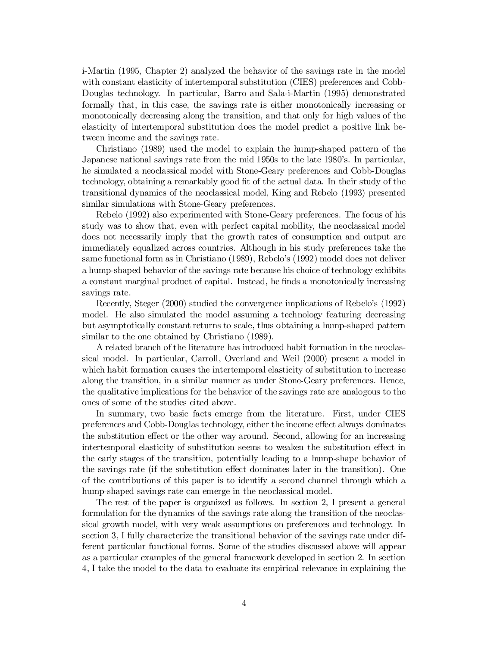i-Martin (1995, Chapter 2) analyzed the behavior of the savings rate in the model with constant elasticity of intertemporal substitution (CIES) preferences and Cobb-Douglas technology. In particular, Barro and Sala-i-Martin (1995) demonstrated formally that, in this case, the savings rate is either monotonically increasing or monotonically decreasing along the transition, and that only for high values of the elasticity of intertemporal substitution does the model predict a positive link between income and the savings rate.

Christiano (1989) used the model to explain the hump-shaped pattern of the Japanese national savings rate from the mid 1950s to the late 1980's. In particular, he simulated a neoclassical model with Stone-Geary preferences and Cobb-Douglas technology, obtaining a remarkably good fit of the actual data. In their study of the transitional dynamics of the neoclassical model, King and Rebelo (1993) presented similar simulations with Stone-Geary preferences.

Rebelo (1992) also experimented with Stone-Geary preferences. The focus of his study was to show that, even with perfect capital mobility, the neoclassical model does not necessarily imply that the growth rates of consumption and output are immediately equalized across countries. Although in his study preferences take the same functional form as in Christiano (1989), Rebelo's (1992) model does not deliver a hump-shaped behavior of the savings rate because his choice of technology exhibits a constant marginal product of capital. Instead, he finds a monotonically increasing savings rate.

Recently, Steger (2000) studied the convergence implications of Rebelo's (1992) model. He also simulated the model assuming a technology featuring decreasing but asymptotically constant returns to scale, thus obtaining a hump-shaped pattern similar to the one obtained by Christiano (1989).

A related branch of the literature has introduced habit formation in the neoclassical model. In particular, Carroll, Overland and Weil (2000) present a model in which habit formation causes the intertemporal elasticity of substitution to increase along the transition, in a similar manner as under Stone-Geary preferences. Hence, the qualitative implications for the behavior of the savings rate are analogous to the ones of some of the studies cited above.

In summary, two basic facts emerge from the literature. First, under CIES preferences and Cobb-Douglas technology, either the income effect always dominates the substitution effect or the other way around. Second, allowing for an increasing intertemporal elasticity of substitution seems to weaken the substitution effect in the early stages of the transition, potentially leading to a hump-shape behavior of the savings rate (if the substitution effect dominates later in the transition). One of the contributions of this paper is to identify a second channel through which a hump-shaped savings rate can emerge in the neoclassical model.

The rest of the paper is organized as follows. In section 2, I present a general formulation for the dynamics of the savings rate along the transition of the neoclassical growth model, with very weak assumptions on preferences and technology. In section 3, I fully characterize the transitional behavior of the savings rate under different particular functional forms. Some of the studies discussed above will appear as a particular examples of the general framework developed in section 2. In section 4, I take the model to the data to evaluate its empirical relevance in explaining the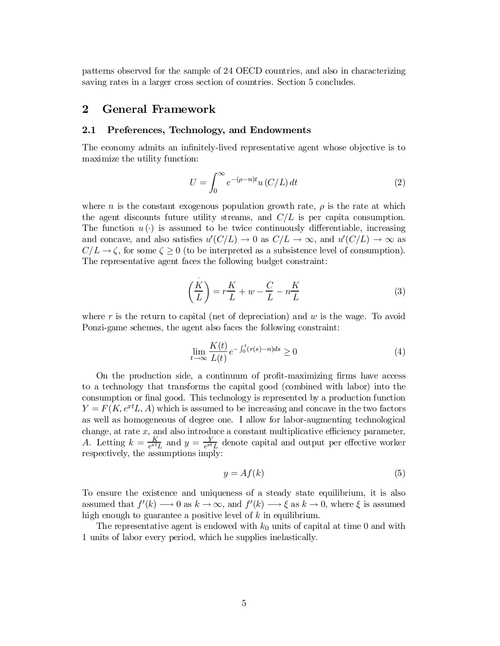patterns observed for the sample of 24 OECD countries, and also in characterizing saving rates in a larger cross section of countries. Section 5 concludes.

# 2 General Framework

#### 2.1 Preferences, Technology, and Endowments

The economy admits an infinitely-lived representative agent whose objective is to maximize the utility function:

$$
U = \int_0^\infty e^{-(\rho - n)t} u(C/L) dt
$$
 (2)

where n is the constant exogenous population growth rate,  $\rho$  is the rate at which the agent discounts future utility streams, and  $C/L$  is per capita consumption. The function  $u(\cdot)$  is assumed to be twice continuously differentiable, increasing and concave, and also satisfies  $u'(C/L) \to 0$  as  $C/L \to \infty$ , and  $u'(C/L) \to \infty$  as  $C/L \rightarrow \zeta$ , for some  $\zeta \ge 0$  (to be interpreted as a subsistence level of consumption). The representative agent faces the following budget constraint:

$$
\left(\frac{K}{L}\right) = r\frac{K}{L} + w - \frac{C}{L} - n\frac{K}{L}
$$
\n(3)

where r is the return to capital (net of depreciation) and  $w$  is the wage. To avoid Ponzi-game schemes, the agent also faces the following constraint:

$$
\lim_{t \to \infty} \frac{K(t)}{L(t)} e^{-\int_0^t (r(s) - n) ds} \ge 0
$$
\n(4)

On the production side, a continuum of profit-maximizing firms have access to a technology that transforms the capital good (combined with labor) into the consumption or final good. This technology is represented by a production function  $Y = F(K, e^{xt}L, A)$  which is assumed to be increasing and concave in the two factors as well as homogeneous of degree one. I allow for labor-augmenting technological change, at rate  $x$ , and also introduce a constant multiplicative efficiency parameter, A. Letting  $k = \frac{K}{e^{xt}}$  $\frac{K}{e^{xt}L}$  and  $y = \frac{Y}{e^{xt}}$  $\frac{Y}{e^{xt}L}$  denote capital and output per effective worker respectively, the assumptions imply:

$$
y = Af(k) \tag{5}
$$

To ensure the existence and uniqueness of a steady state equilibrium, it is also assumed that  $f'(k) \longrightarrow 0$  as  $k \longrightarrow \infty$ , and  $f'(k) \longrightarrow \xi$  as  $k \longrightarrow 0$ , where  $\xi$  is assumed high enough to guarantee a positive level of  $k$  in equilibrium.

The representative agent is endowed with  $k_0$  units of capital at time 0 and with 1 units of labor every period, which he supplies inelastically.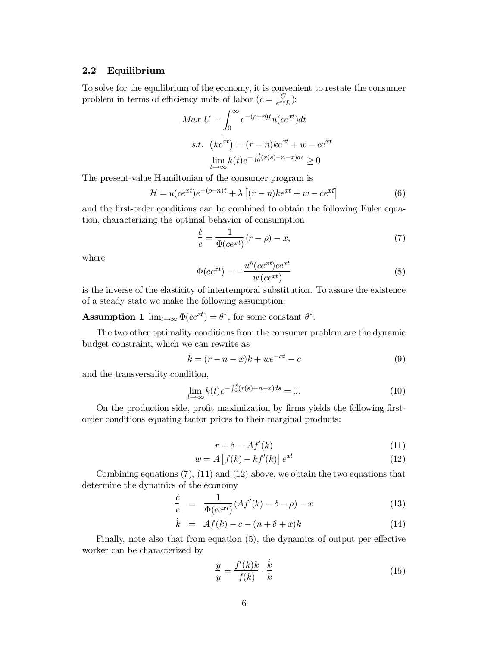#### 2.2 Equilibrium

To solve for the equilibrium of the economy, it is convenient to restate the consumer problem in terms of efficiency units of labor  $(c = \frac{C}{e^{xt}})$  $\frac{C}{e^{xt}L}$ ):

$$
Max \ U = \int_0^\infty e^{-(\rho - n)t} u(ce^{xt}) dt
$$
  
s.t.  $(ke^{xt}) = (r - n)ke^{xt} + w - ce^{xt}$   

$$
\lim_{t \to \infty} k(t)e^{-\int_0^t (r(s) - n - x)ds} \ge 0
$$

The present-value Hamiltonian of the consumer program is

$$
\mathcal{H} = u(ce^{xt})e^{-(\rho - n)t} + \lambda \left[ (r - n)ke^{xt} + w - ce^{xt} \right]
$$
(6)

and the first-order conditions can be combined to obtain the following Euler equation, characterizing the optimal behavior of consumption

$$
\frac{\dot{c}}{c} = \frac{1}{\Phi(c e^{xt})} (r - \rho) - x,\tag{7}
$$

where

$$
\Phi(ce^{xt}) = -\frac{u''(ce^{xt})ce^{xt}}{u'(ce^{xt})}
$$
\n(8)

is the inverse of the elasticity of intertemporal substitution. To assure the existence of a steady state we make the following assumption:

**Assumption 1**  $\lim_{t \to \infty} \Phi(ce^{xt}) = \theta^*$ , for some constant  $\theta^*$ .

The two other optimality conditions from the consumer problem are the dynamic budget constraint, which we can rewrite as

$$
\dot{k} = (r - n - x)k + we^{-xt} - c \tag{9}
$$

and the transversality condition,

$$
\lim_{t \to \infty} k(t)e^{-\int_0^t (r(s) - n - x)ds} = 0.
$$
\n(10)

On the production side, profit maximization by firms yields the following firstorder conditions equating factor prices to their marginal products:

$$
r + \delta = Af'(k) \tag{11}
$$

$$
w = A \left[ f(k) - kf'(k) \right] e^{xt}
$$
\n(12)

Combining equations (7), (11) and (12) above, we obtain the two equations that determine the dynamics of the economy

$$
\frac{\dot{c}}{c} = \frac{1}{\Phi(c e^{xt})} (Af'(k) - \delta - \rho) - x \tag{13}
$$

$$
\dot{k} = Af(k) - c - (n + \delta + x)k \tag{14}
$$

Finally, note also that from equation (5), the dynamics of output per effective worker can be characterized by

$$
\frac{\dot{y}}{y} = \frac{f'(k)k}{f(k)} \cdot \frac{\dot{k}}{k} \tag{15}
$$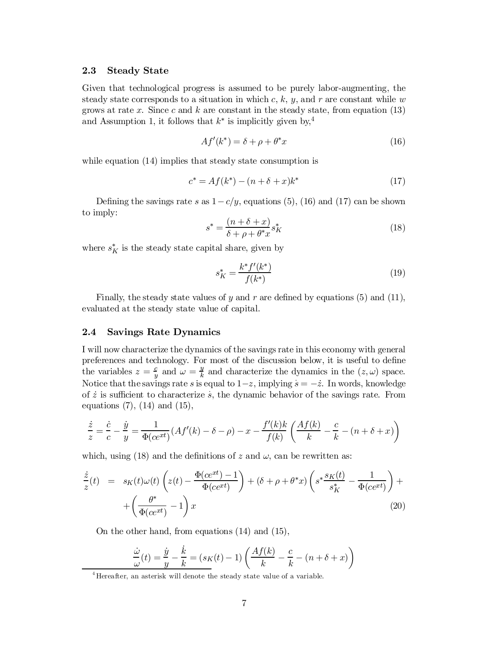#### 2.3 Steady State

Given that technological progress is assumed to be purely labor-augmenting, the steady state corresponds to a situation in which  $c, k, y$ , and r are constant while w grows at rate x. Since c and k are constant in the steady state, from equation  $(13)$ and Assumption 1, it follows that  $k^*$  is implicitly given by,<sup>4</sup>

$$
Af'(k^*) = \delta + \rho + \theta^*x \tag{16}
$$

while equation  $(14)$  implies that steady state consumption is

$$
c^* = Af(k^*) - (n + \delta + x)k^*
$$
\n(17)

Defining the savings rate s as  $1-c/y$ , equations (5), (16) and (17) can be shown to imply:

$$
s^* = \frac{(n+\delta+x)}{\delta+\rho+\theta^*x} s_K^* \tag{18}
$$

where  $s_K^*$  is the steady state capital share, given by

$$
s_K^* = \frac{k^* f'(k^*)}{f(k^*)}
$$
\n(19)

Finally, the steady state values of y and r are defined by equations (5) and (11), evaluated at the steady state value of capital.

#### 2.4 Savings Rate Dynamics

I will now characterize the dynamics of the savings rate in this economy with general preferences and technology. For most of the discussion below, it is useful to define the variables  $z = \frac{c}{u}$  $\frac{c}{y}$  and  $\omega = \frac{y}{k}$  $\frac{y}{k}$  and characterize the dynamics in the  $(z, \omega)$  space. Notice that the savings rate s is equal to  $1-z$ , implying  $s = -z$ . In words, knowledge of  $\dot{z}$  is sufficient to characterize  $\dot{s}$ , the dynamic behavior of the savings rate. From equations (7), (14) and (15),

$$
\frac{\dot{z}}{z} = \frac{\dot{c}}{c} - \frac{\dot{y}}{y} = \frac{1}{\Phi(cext)}(Af'(k) - \delta - \rho) - x - \frac{f'(k)k}{f(k)}\left(\frac{Af(k)}{k} - \frac{c}{k} - (n + \delta + x)\right)
$$

which, using (18) and the definitions of z and  $\omega$ , can be rewritten as:

$$
\frac{\dot{z}}{z}(t) = s_K(t)\omega(t)\left(z(t) - \frac{\Phi(c e^{xt}) - 1}{\Phi(c e^{xt})}\right) + (\delta + \rho + \theta^*x)\left(s^* \frac{s_K(t)}{s_K^*} - \frac{1}{\Phi(c e^{xt})}\right) + \left(\frac{\theta^*}{\Phi(c e^{xt})} - 1\right)x\tag{20}
$$

On the other hand, from equations (14) and (15),

$$
\frac{\dot{\omega}}{\omega}(t) = \frac{\dot{y}}{y} - \frac{\dot{k}}{k} = (s_K(t) - 1) \left( \frac{Af(k)}{k} - \frac{c}{k} - (n + \delta + x) \right)
$$

<sup>&</sup>lt;sup>4</sup> Hereafter, an asterisk will denote the steady state value of a variable.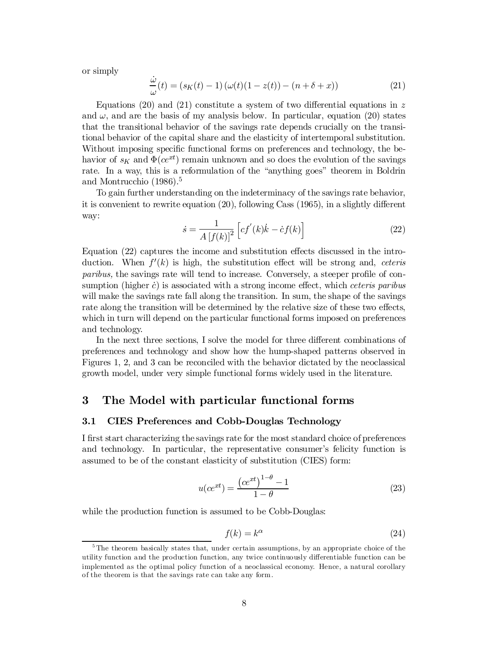or simply

$$
\frac{\dot{\omega}}{\omega}(t) = (s_K(t) - 1) \left(\omega(t)(1 - z(t)) - (n + \delta + x)\right)
$$
\n(21)

Equations (20) and (21) constitute a system of two differential equations in z and  $\omega$ , and are the basis of my analysis below. In particular, equation (20) states that the transitional behavior of the savings rate depends crucially on the transitional behavior of the capital share and the elasticity of intertemporal substitution. Without imposing specific functional forms on preferences and technology, the behavior of  $s_K$  and  $\Phi(ce^{xt})$  remain unknown and so does the evolution of the savings rate. In a way, this is a reformulation of the "anything goes" theorem in Boldrin and Montrucchio (1986). 5

To gain further understanding on the indeterminacy of the savings rate behavior, it is convenient to rewrite equation  $(20)$ , following Cass  $(1965)$ , in a slightly different way:

$$
\dot{s} = \frac{1}{A\left[f(k)\right]^2} \left[ cf'(k)\dot{k} - \dot{c}f(k) \right]
$$
\n(22)

Equation (22) captures the income and substitution effects discussed in the introduction. When  $f'(k)$  is high, the substitution effect will be strong and, ceteris paribus, the savings rate will tend to increase. Conversely, a steeper profile of consumption (higher  $\dot{c}$ ) is associated with a strong income effect, which ceteris paribus will make the savings rate fall along the transition. In sum, the shape of the savings rate along the transition will be determined by the relative size of these two effects, which in turn will depend on the particular functional forms imposed on preferences and technology.

In the next three sections, I solve the model for three different combinations of preferences and technology and show how the hump-shaped patterns observed in Figures 1, 2, and 3 can be reconciled with the behavior dictated by the neoclassical growth model, under very simple functional forms widely used in the literature.

# 3 The Model with particular functional forms

#### 3.1 CIES Preferences and Cobb-Douglas Technology

I first start characterizing the savings rate for the most standard choice of preferences and technology. In particular, the representative consumer's felicity function is assumed to be of the constant elasticity of substitution (CIES) form:

$$
u(ce^{xt}) = \frac{\left(ce^{xt}\right)^{1-\theta} - 1}{1-\theta} \tag{23}
$$

while the production function is assumed to be Cobb-Douglas:

$$
f(k) = k^{\alpha} \tag{24}
$$

<sup>&</sup>lt;sup>5</sup>The theorem basically states that, under certain assumptions, by an appropriate choice of the utility function and the production function, any twice continuously di¤erentiable function can be implemented as the optimal policy function of a neoclassical economy. Hence, a natural corollary of the theorem is that the savings rate can take any form.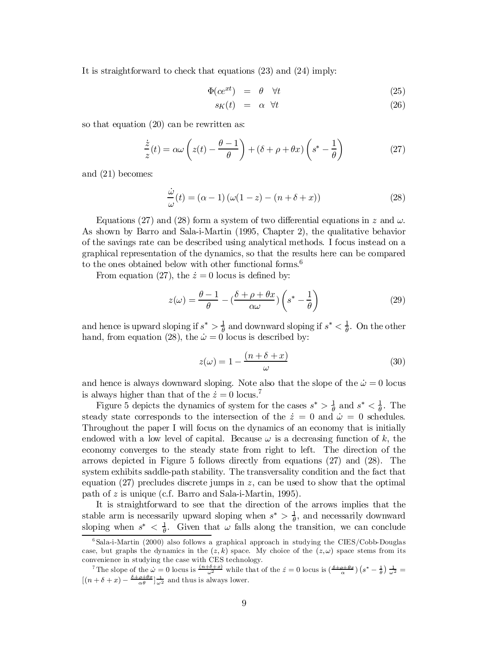It is straightforward to check that equations (23) and (24) imply:

$$
\Phi(c e^{xt}) = \theta \quad \forall t \tag{25}
$$

$$
s_K(t) = \alpha \quad \forall t \tag{26}
$$

so that equation (20) can be rewritten as:

$$
\frac{\dot{z}}{z}(t) = \alpha \omega \left( z(t) - \frac{\theta - 1}{\theta} \right) + (\delta + \rho + \theta x) \left( s^* - \frac{1}{\theta} \right) \tag{27}
$$

and (21) becomes:

$$
\frac{\dot{\omega}}{\omega}(t) = (\alpha - 1)\left(\omega(1 - z) - (n + \delta + x)\right)
$$
\n(28)

Equations (27) and (28) form a system of two differential equations in z and  $\omega$ . As shown by Barro and Sala-i-Martin (1995, Chapter 2), the qualitative behavior of the savings rate can be described using analytical methods. I focus instead on a graphical representation of the dynamics, so that the results here can be compared to the ones obtained below with other functional forms. 6

From equation (27), the  $\dot{z} = 0$  locus is defined by:

$$
z(\omega) = \frac{\theta - 1}{\theta} - \left(\frac{\delta + \rho + \theta x}{\alpha \omega}\right) \left(s^* - \frac{1}{\theta}\right) \tag{29}
$$

and hence is upward sloping if  $s^* > \frac{1}{\theta}$  $\frac{1}{\theta}$  and downward sloping if  $s^* < \frac{1}{\theta}$  $\frac{1}{\theta}$ . On the other hand, from equation (28), the  $\dot{\omega} = 0$  locus is described by:

$$
z(\omega) = 1 - \frac{(n + \delta + x)}{\omega} \tag{30}
$$

and hence is always downward sloping. Note also that the slope of the  $\dot{\omega} = 0$  locus is always higher than that of the  $\dot{z} = 0$  locus.<sup>7</sup>

Figure 5 depicts the dynamics of system for the cases  $s^* > \frac{1}{\theta}$  $\frac{1}{\theta}$  and  $s^* < \frac{1}{\theta}$  $\frac{1}{\theta}$ . The steady state corresponds to the intersection of the  $\dot{z} = 0$  and  $\dot{\omega} = 0$  schedules. Throughout the paper I will focus on the dynamics of an economy that is initially endowed with a low level of capital. Because  $\omega$  is a decreasing function of k, the economy converges to the steady state from right to left. The direction of the arrows depicted in Figure 5 follows directly from equations (27) and (28). The system exhibits saddle-path stability. The transversality condition and the fact that equation  $(27)$  precludes discrete jumps in z, can be used to show that the optimal path of z is unique (c.f. Barro and Sala-i-Martin, 1995).

It is straightforward to see that the direction of the arrows implies that the stable arm is necessarily upward sloping when  $s^* > \frac{1}{\theta}$ , and necessarily downward sloping when  $s^* < \frac{1}{\theta}$ . Given that  $\omega$  falls along the transition, we can conclude

<sup>6</sup> Sala-i-Martin (2000) also follows a graphical approach in studying the CIES/Cobb-Douglas case, but graphs the dynamics in the  $(z, k)$  space. My choice of the  $(z, \omega)$  space stems from its convenience in studying the case with CES technology.

<sup>&</sup>lt;sup>7</sup>The slope of the  $\dot{\omega} = 0$  locus is  $\frac{(n+\delta+x)}{\omega^2}$  while that of the  $\dot{z} = 0$  locus is  $\left(\frac{\delta+\rho+\theta x}{\alpha}\right)\left(s^*-\frac{1}{\theta}\right)\frac{1}{\omega^2}$  $[(n+\delta+x)-\frac{\delta+\rho+\theta x}{\alpha\theta}]_{\omega^2}^{-1}$  and thus is always lower.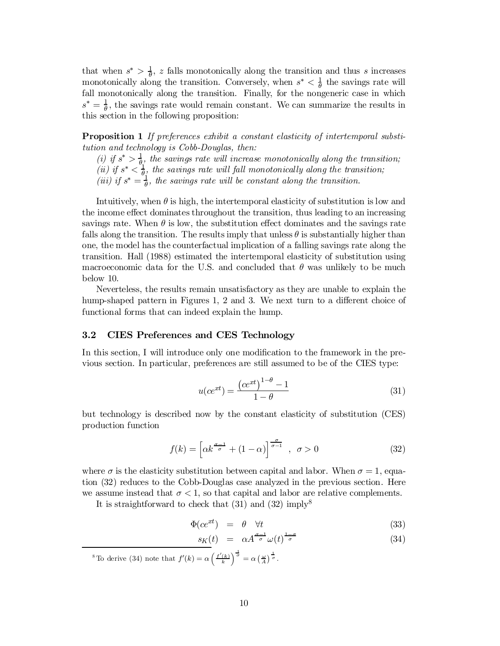that when  $s^* > \frac{1}{\theta}$ , z falls monotonically along the transition and thus s increases monotonically along the transition. Conversely, when  $s^* < \frac{1}{\theta}$  the savings rate will fall monotonically along the transition. Finally, for the nongeneric case in which  $s^*=\frac{1}{\theta}$  $\frac{1}{\theta}$ , the savings rate would remain constant. We can summarize the results in this section in the following proposition:

Proposition 1 If preferences exhibit a constant elasticity of intertemporal substitution and technology is Cobb-Douglas, then:

(i) if  $s^* > \frac{1}{\theta}$  $\frac{1}{\theta_1}$ , the savings rate will increase monotonically along the transition; (ii) if  $s^* < \frac{1}{\theta}$  $\frac{1}{\theta}$ , the savings rate will fall monotonically along the transition; (iii) if  $s^* = \frac{1}{\theta}$  $\frac{1}{\theta}$ , the savings rate will be constant along the transition.

Intuitively, when  $\theta$  is high, the intertemporal elasticity of substitution is low and the income effect dominates throughout the transition, thus leading to an increasing savings rate. When  $\theta$  is low, the substitution effect dominates and the savings rate falls along the transition. The results imply that unless  $\theta$  is substantially higher than one, the model has the counterfactual implication of a falling savings rate along the transition. Hall (1988) estimated the intertemporal elasticity of substitution using macroeconomic data for the U.S. and concluded that  $\theta$  was unlikely to be much below 10.

Neverteless, the results remain unsatisfactory as they are unable to explain the hump-shaped pattern in Figures 1, 2 and 3. We next turn to a different choice of functional forms that can indeed explain the hump.

#### 3.2 CIES Preferences and CES Technology

In this section, I will introduce only one modification to the framework in the previous section. In particular, preferences are still assumed to be of the CIES type:

$$
u(ce^{xt}) = \frac{\left(ce^{xt}\right)^{1-\theta} - 1}{1-\theta} \tag{31}
$$

but technology is described now by the constant elasticity of substitution (CES) production function

$$
f(k) = \left[\alpha k^{\frac{\sigma-1}{\sigma}} + (1-\alpha)\right]^{\frac{\sigma}{\sigma-1}}, \quad \sigma > 0 \tag{32}
$$

where  $\sigma$  is the elasticity substitution between capital and labor. When  $\sigma = 1$ , equation (32) reduces to the Cobb-Douglas case analyzed in the previous section. Here we assume instead that  $\sigma < 1$ , so that capital and labor are relative complements.

It is straightforward to check that  $(31)$  and  $(32)$  imply<sup>8</sup>

$$
\Phi(c e^{xt}) = \theta \quad \forall t \tag{33}
$$

$$
s_K(t) = \alpha A^{\frac{\sigma-1}{\sigma}} \omega(t)^{\frac{1-\sigma}{\sigma}} \tag{34}
$$

<sup>8</sup>To derive (34) note that  $f'(k) = \alpha \left(\frac{f'(k)}{k}\right)^{\frac{1}{\sigma}} = \alpha \left(\frac{\omega}{A}\right)^{\frac{1}{\sigma}}$ .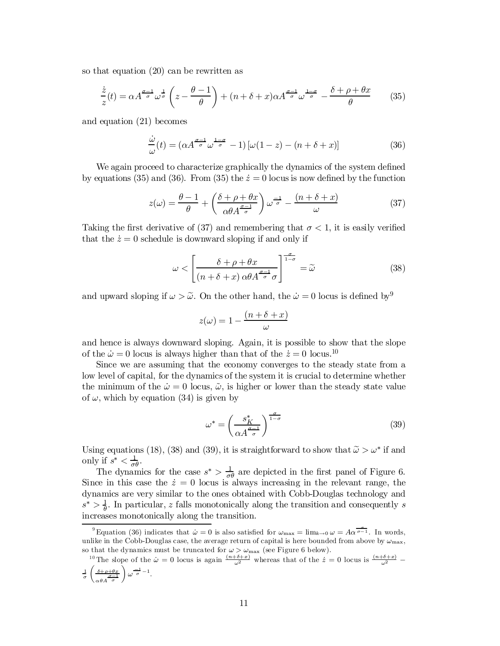so that equation (20) can be rewritten as

$$
\frac{\dot{z}}{z}(t) = \alpha A^{\frac{\sigma-1}{\sigma}} \omega^{\frac{1}{\sigma}} \left( z - \frac{\theta - 1}{\theta} \right) + (n + \delta + x) \alpha A^{\frac{\sigma-1}{\sigma}} \omega^{\frac{1-\sigma}{\sigma}} - \frac{\delta + \rho + \theta x}{\theta} \tag{35}
$$

and equation (21) becomes

$$
\frac{\dot{\omega}}{\omega}(t) = (\alpha A^{\frac{\sigma-1}{\sigma}} \omega^{\frac{1-\sigma}{\sigma}} - 1) [\omega(1-z) - (n+\delta+x)] \tag{36}
$$

We again proceed to characterize graphically the dynamics of the system defined by equations (35) and (36). From (35) the  $\dot{z} = 0$  locus is now defined by the function

$$
z(\omega) = \frac{\theta - 1}{\theta} + \left(\frac{\delta + \rho + \theta x}{\alpha \theta A^{\frac{\sigma - 1}{\sigma}}}\right) \omega^{\frac{-1}{\sigma}} - \frac{(n + \delta + x)}{\omega} \tag{37}
$$

Taking the first derivative of (37) and remembering that  $\sigma < 1$ , it is easily verified that the  $\dot{z} = 0$  schedule is downward sloping if and only if

$$
\omega < \left[ \frac{\delta + \rho + \theta x}{(n + \delta + x) \alpha \theta A^{\frac{\sigma - 1}{\sigma}} \sigma} \right]^{\frac{\sigma}{1 - \sigma}} = \widetilde{\omega}
$$
\n(38)

and upward sloping if  $\omega > \tilde{\omega}$ . On the other hand, the  $\dot{\omega} = 0$  locus is defined by<sup>9</sup>

$$
z(\omega) = 1 - \frac{(n + \delta + x)}{\omega}
$$

and hence is always downward sloping. Again, it is possible to show that the slope of the  $\dot{\omega} = 0$  locus is always higher than that of the  $\dot{z} = 0$  locus.<sup>10</sup>

Since we are assuming that the economy converges to the steady state from a low level of capital, for the dynamics of the system it is crucial to determine whether the minimum of the  $\dot{\omega} = 0$  locus,  $\tilde{\omega}$ , is higher or lower than the steady state value of  $\omega$ , which by equation (34) is given by

$$
\omega^* = \left(\frac{s_K^*}{\alpha A^{\frac{\sigma-1}{\sigma}}}\right)^{\frac{\sigma}{1-\sigma}}
$$
(39)

Using equations (18), (38) and (39), it is straightforward to show that  $\tilde{\omega} > \omega^*$  if and only if  $s^* < \frac{1}{\sigma}$  $\frac{1}{\sigma \theta}$ .

The dynamics for the case  $s^*$  >  $\frac{1}{\sigma}$  $\frac{1}{\sigma \theta}$  are depicted in the first panel of Figure 6. Since in this case the  $\dot{z} = 0$  locus is always increasing in the relevant range, the dynamics are very similar to the ones obtained with Cobb-Douglas technology and  $s^* > \frac{1}{\theta}$ . In particular, z falls monotonically along the transition and consequently s increases monotonically along the transition.

<sup>&</sup>lt;sup>9</sup> Equation (36) indicates that  $\dot{\omega} = 0$  is also satisfied for  $\omega_{\text{max}} = \lim_{k \to 0} \omega = A\alpha^{\frac{2}{\sigma-1}}$ . In words, unlike in the Cobb-Douglas case, the average return of capital is here bounded from above by  $\omega_{\text{max}}$ , so that the dynamics must be truncated for  $\omega > \omega_{\text{max}}$  (see Figure 6 below).

<sup>&</sup>lt;sup>10</sup> The slope of the  $\dot{\omega} = 0$  locus is again  $\frac{(n+\delta+x)}{\omega^2}$  whereas that of the  $\dot{z} = 0$  locus is  $\frac{(n+\delta+x)}{\omega^2}$  $\frac{1}{\sigma}$  $\int \frac{\delta+\rho+\theta x}{\delta}$  $\alpha \theta A \frac{\sigma-1}{\sigma}$  $\bigg\downarrow \frac{-1}{\sigma} - 1.$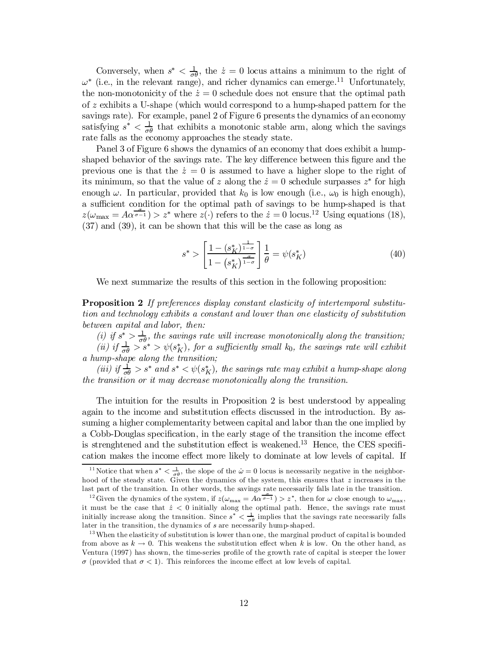Conversely, when  $s^* < \frac{1}{\sigma \theta}$ , the  $\dot{z} = 0$  locus attains a minimum to the right of  $\omega^*$  (i.e., in the relevant range), and richer dynamics can emerge.<sup>11</sup> Unfortunately, the non-monotonicity of the  $\dot{z} = 0$  schedule does not ensure that the optimal path of z exhibits a U-shape (which would correspond to a hump-shaped pattern for the savings rate). For example, panel 2 of Figure 6 presents the dynamics of an economy satisfying  $s^* < \frac{1}{\sigma}$  $\frac{1}{\sigma\theta}$  that exhibits a monotonic stable arm, along which the savings rate falls as the economy approaches the steady state.

Panel 3 of Figure 6 shows the dynamics of an economy that does exhibit a humpshaped behavior of the savings rate. The key difference between this figure and the previous one is that the  $\dot{z} = 0$  is assumed to have a higher slope to the right of its minimum, so that the value of z along the  $\dot{z} = 0$  schedule surpasses  $z^*$  for high enough  $\omega$ . In particular, provided that  $k_0$  is low enough (i.e.,  $\omega_0$  is high enough), a sufficient condition for the optimal path of savings to be hump-shaped is that  $z(\omega_{\text{max}} = A\alpha^{\frac{\alpha}{\sigma-1}}) > z^*$  where  $z(\cdot)$  refers to the  $z = 0$  locus.<sup>12</sup> Using equations (18), (37) and (39), it can be shown that this will be the case as long as

$$
s^* > \left[\frac{1 - (s_K^*)^{\frac{1}{1 - \sigma}}}{1 - (s_K^*)^{\frac{\sigma}{1 - \sigma}}}\right] \frac{1}{\theta} = \psi(s_K^*)
$$
(40)

We next summarize the results of this section in the following proposition:

Proposition 2 If preferences display constant elasticity of intertemporal substitution and technology exhibits a constant and lower than one elasticity of substitution between capital and labor, then:

(*i*) if  $s^* > \frac{1}{\sigma}$  $\frac{1}{\sigma\theta}$ , the savings rate will increase monotonically along the transition; (ii) if  $\frac{1}{\sigma \theta} > s^*$  >  $\psi(s_K^*)$ , for a sufficiently small  $k_0$ , the savings rate will exhibit a hump-shape along the transition;

(iii) if  $\frac{1}{\sigma \theta} > s^*$  and  $s^* < \psi(s_K^*)$ , the savings rate may exhibit a hump-shape along the transition or it may decrease monotonically along the transition.

The intuition for the results in Proposition 2 is best understood by appealing again to the income and substitution effects discussed in the introduction. By assuming a higher complementarity between capital and labor than the one implied by a Cobb-Douglas specification, in the early stage of the transition the income effect is strenghtened and the substitution effect is weakened.<sup>13</sup> Hence, the CES specification makes the income effect more likely to dominate at low levels of capital. If

<sup>&</sup>lt;sup>11</sup> Notice that when  $s^* < \frac{1}{\sigma \theta}$ , the slope of the  $\dot{\omega} = 0$  locus is necessarily negative in the neighborhood of the steady state. Given the dynamics of the system, this ensures that  $z$  increases in the last part of the transition. In other words, the savings rate necessarily falls late in the transition.

<sup>&</sup>lt;sup>12</sup> Given the dynamics of the system, if  $z(\omega_{\text{max}} = A\alpha^{\frac{\alpha}{\sigma-1}}) > z^*$ , then for  $\omega$  close enough to  $\omega_{\text{max}}$ , it must be the case that  $\dot{z} < 0$  initially along the optimal path. Hence, the savings rate must initially increase along the transition. Since  $s^* < \frac{1}{\sigma \theta}$  implies that the savings rate necessarily falls later in the transition, the dynamics of s are necessarily hump-shaped.

<sup>&</sup>lt;sup>13</sup> When the elasticity of substitution is lower than one, the marginal product of capital is bounded from above as  $k \to 0$ . This weakens the substitution effect when k is low. On the other hand, as Ventura (1997) has shown, the time-series profile of the growth rate of capital is steeper the lower  $\sigma$  (provided that  $\sigma$  < 1). This reinforces the income effect at low levels of capital.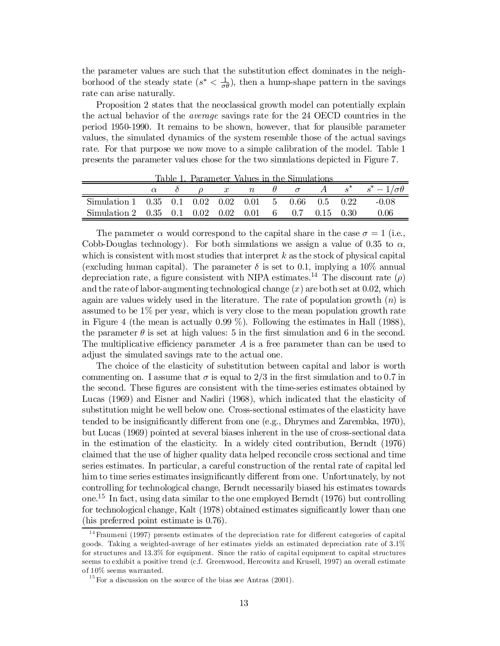the parameter values are such that the substitution effect dominates in the neighborhood of the steady state  $(s^* < \frac{1}{\sigma \theta})$ , then a hump-shape pattern in the savings rate can arise naturally.

Proposition 2 states that the neoclassical growth model can potentially explain the actual behavior of the average savings rate for the 24 OECD countries in the period 1950-1990. It remains to be shown, however, that for plausible parameter values, the simulated dynamics of the system resemble those of the actual savings rate. For that purpose we now move to a simple calibration of the model. Table 1 presents the parameter values chose for the two simulations depicted in Figure 7.

|                                                      |  | <u>radie is ralameter values in the Simulations</u> |  |  |  | $\alpha$ $\delta$ $\rho$ $x$ $n$ $\theta$ $\sigma$ $A$ $s^*$ $s^*$ $-1/\sigma\theta$ |
|------------------------------------------------------|--|-----------------------------------------------------|--|--|--|--------------------------------------------------------------------------------------|
| Simulation 1 0.35 0.1 0.02 0.02 0.01 5 0.66 0.5 0.22 |  |                                                     |  |  |  | -0.08                                                                                |
| Simulation 2 0.35 0.1 0.02 0.02 0.01 6 0.7 0.15 0.30 |  |                                                     |  |  |  | 0.06                                                                                 |

Table 1. Parameter Values in the Simulations

The parameter  $\alpha$  would correspond to the capital share in the case  $\sigma = 1$  (i.e., Cobb-Douglas technology). For both simulations we assign a value of 0.35 to  $\alpha$ , which is consistent with most studies that interpret  $k$  as the stock of physical capital (excluding human capital). The parameter  $\delta$  is set to 0.1, implying a 10% annual depreciation rate, a figure consistent with NIPA estimates.<sup>14</sup> The discount rate  $(\rho)$ and the rate of labor-augmenting technological change  $(x)$  are both set at 0.02, which again are values widely used in the literature. The rate of population growth  $(n)$  is assumed to be  $1\%$  per year, which is very close to the mean population growth rate in Figure 4 (the mean is actually  $0.99\%$ ). Following the estimates in Hall (1988), the parameter  $\theta$  is set at high values: 5 in the first simulation and 6 in the second. The multiplicative efficiency parameter  $A$  is a free parameter than can be used to adjust the simulated savings rate to the actual one.

The choice of the elasticity of substitution between capital and labor is worth commenting on. I assume that  $\sigma$  is equal to 2/3 in the first simulation and to 0.7 in the second. These figures are consistent with the time-series estimates obtained by Lucas (1969) and Eisner and Nadiri (1968), which indicated that the elasticity of substitution might be well below one. Cross-sectional estimates of the elasticity have tended to be insignificantly different from one (e.g., Dhrymes and Zarembka, 1970), but Lucas (1969) pointed at several biases inherent in the use of cross-sectional data in the estimation of the elasticity. In a widely cited contribution, Berndt (1976) claimed that the use of higher quality data helped reconcile cross sectional and time series estimates. In particular, a careful construction of the rental rate of capital led him to time series estimates insignificantly different from one. Unfortunately, by not controlling for technological change, Berndt necessarily biased his estimates towards one. 15 In fact, using data similar to the one employed Berndt (1976) but controlling for technological change, Kalt  $(1978)$  obtained estimates significantly lower than one (his preferred point estimate is 0.76).

 $14$  Fraumeni (1997) presents estimates of the depreciation rate for different categories of capital goods. Taking a weighted-average of her estimates yields an estimated depreciation rate of 3.1% for structures and 13.3% for equipment. Since the ratio of capital equipment to capital structures seems to exhibit a positive trend (c.f. Greenwood, Hercowitz and Krusell, 1997) an overall estimate of 10% seems warranted.

 $^{15}$  For a discussion on the source of the bias see Antras (2001).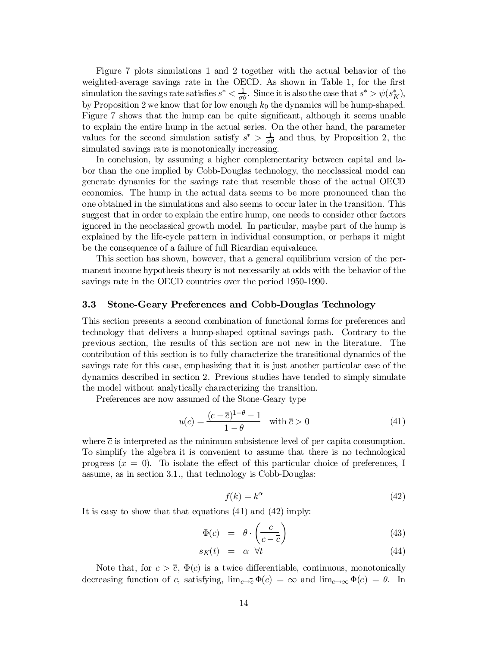Figure 7 plots simulations 1 and 2 together with the actual behavior of the weighted-average savings rate in the OECD. As shown in Table 1, for the first simulation the savings rate satisfies  $s^* < \frac{1}{\sigma \theta}$ . Since it is also the case that  $s^* > \psi(s_K^*)$ , by Proposition 2 we know that for low enough  $k_0$  the dynamics will be hump-shaped. Figure 7 shows that the hump can be quite significant, although it seems unable to explain the entire hump in the actual series. On the other hand, the parameter values for the second simulation satisfy  $s^* > \frac{1}{\sigma}$  $\frac{1}{\sigma \theta}$  and thus, by Proposition 2, the simulated savings rate is monotonically increasing.

In conclusion, by assuming a higher complementarity between capital and labor than the one implied by Cobb-Douglas technology, the neoclassical model can generate dynamics for the savings rate that resemble those of the actual OECD economies. The hump in the actual data seems to be more pronounced than the one obtained in the simulations and also seems to occur later in the transition. This suggest that in order to explain the entire hump, one needs to consider other factors ignored in the neoclassical growth model. In particular, maybe part of the hump is explained by the life-cycle pattern in individual consumption, or perhaps it might be the consequence of a failure of full Ricardian equivalence.

This section has shown, however, that a general equilibrium version of the permanent income hypothesis theory is not necessarily at odds with the behavior of the savings rate in the OECD countries over the period 1950-1990.

#### 3.3 Stone-Geary Preferences and Cobb-Douglas Technology

This section presents a second combination of functional forms for preferences and technology that delivers a hump-shaped optimal savings path. Contrary to the previous section, the results of this section are not new in the literature. The contribution of this section is to fully characterize the transitional dynamics of the savings rate for this case, emphasizing that it is just another particular case of the dynamics described in section 2. Previous studies have tended to simply simulate the model without analytically characterizing the transition.

Preferences are now assumed of the Stone-Geary type

$$
u(c) = \frac{(c - \overline{c})^{1-\theta} - 1}{1-\theta} \quad \text{with } \overline{c} > 0 \tag{41}
$$

where  $\bar{c}$  is interpreted as the minimum subsistence level of per capita consumption. To simplify the algebra it is convenient to assume that there is no technological progress  $(x = 0)$ . To isolate the effect of this particular choice of preferences, I assume, as in section 3.1., that technology is Cobb-Douglas:

$$
f(k) = k^{\alpha} \tag{42}
$$

It is easy to show that that equations (41) and (42) imply:

$$
\Phi(c) = \theta \cdot \left(\frac{c}{c - \overline{c}}\right) \tag{43}
$$

$$
s_K(t) = \alpha \quad \forall t \tag{44}
$$

Note that, for  $c > \overline{c}$ ,  $\Phi(c)$  is a twice differentiable, continuous, monotonically decreasing function of c, satisfying,  $\lim_{c\to c} \Phi(c) = \infty$  and  $\lim_{c\to\infty} \Phi(c) = \theta$ . In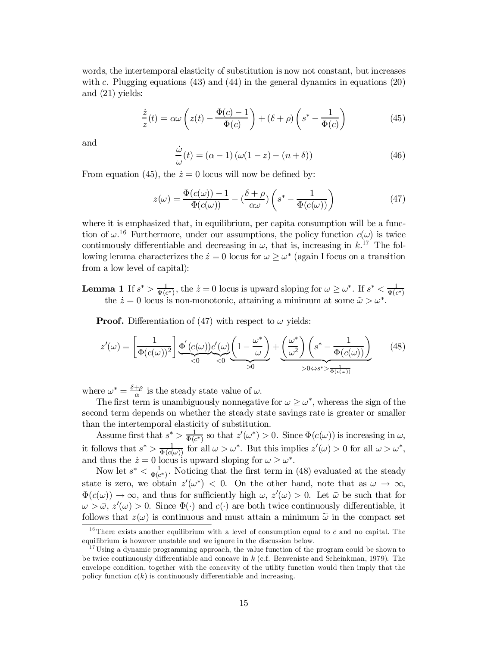words, the intertemporal elasticity of substitution is now not constant, but increases with c. Plugging equations  $(43)$  and  $(44)$  in the general dynamics in equations  $(20)$ and (21) yields:

$$
\frac{\dot{z}}{z}(t) = \alpha \omega \left( z(t) - \frac{\Phi(c) - 1}{\Phi(c)} \right) + (\delta + \rho) \left( s^* - \frac{1}{\Phi(c)} \right) \tag{45}
$$

and

$$
\frac{\dot{\omega}}{\omega}(t) = (\alpha - 1) (\omega(1 - z) - (n + \delta))
$$
\n(46)

From equation (45), the  $\dot{z} = 0$  locus will now be defined by:

$$
z(\omega) = \frac{\Phi(c(\omega)) - 1}{\Phi(c(\omega))} - \left(\frac{\delta + \rho}{\alpha \omega}\right) \left(s^* - \frac{1}{\Phi(c(\omega))}\right)
$$
(47)

where it is emphasized that, in equilibrium, per capita consumption will be a function of  $\omega$ .<sup>16</sup> Furthermore, under our assumptions, the policy function  $c(\omega)$  is twice continuously differentiable and decreasing in  $\omega$ , that is, increasing in k.<sup>17</sup> The following lemma characterizes the  $\dot{z} = 0$  locus for  $\omega \ge \omega^*$  (again I focus on a transition from a low level of capital):

Lemma 1 If  $s^*$   $> \frac{1}{\Phi(s)}$  $\frac{1}{\Phi(c^*)}$ , the  $\dot{z} = 0$  locus is upward sloping for  $\omega \geq \omega^*$ . If  $s^* < \frac{1}{\Phi(c^*)}$  $\mathbf{E} \cdot \mathbf{E} = \mathbf{E} \cdot \mathbf{E} \cdot \mathbf{E}$  are  $z = 0$  locus is the substitution of  $\mathbf{E} \geq \mathbf{E} \cdot \mathbf{E} \cdot \mathbf{E} \cdot \mathbf{E}$  and  $\mathbf{E} \cdot \mathbf{E} \cdot \mathbf{E}$  are  $\mathbf{E} \cdot \mathbf{E} \cdot \mathbf{E}$  and  $\mathbf{E} \cdot \mathbf{E} \cdot \mathbf{E} \cdot \mathbf{E} \cdot \mathbf{$ 

**Proof.** Differentiation of (47) with respect to  $\omega$  yields:

$$
z'(\omega) = \left[\frac{1}{\Phi(c(\omega))^2}\right] \underbrace{\Phi'(c(\omega))c'(\omega)}_{<0} \underbrace{\left(1 - \frac{\omega^*}{\omega}\right)}_{>0} + \underbrace{\left(\frac{\omega^*}{\omega^2}\right)\left(s^* - \frac{1}{\Phi(c(\omega))}\right)}_{>0 \Leftrightarrow s^* > \frac{1}{\Phi(c(\omega))}}
$$
(48)

where  $\omega^* = \frac{\delta + \rho}{\alpha}$  $\frac{d\omega}{d\alpha}$  is the steady state value of  $\omega$ .

The first term is unambiguously nonnegative for  $\omega \geq \omega^*$ , whereas the sign of the second term depends on whether the steady state savings rate is greater or smaller than the intertemporal elasticity of substitution.

Assume first that  $s^* > \frac{1}{\Phi(r)}$  $\frac{1}{\Phi(c^*)}$  so that  $z'(\omega^*) > 0$ . Since  $\Phi(c(\omega))$  is increasing in  $\omega$ , it follows that  $s^* > \frac{1}{\Phi(c)}$  $\frac{1}{\Phi(c(\omega))}$  for all  $\omega > \omega^*$ . But this implies  $z'(\omega) > 0$  for all  $\omega > \omega^*$ , and thus the  $\dot{z} = 0$  locus is upward sloping for  $\omega \ge \omega^*$ .

Now let  $s^* < \frac{1}{\Phi(s)}$  $\frac{1}{\Phi(c^*)}$ . Noticing that the first term in (48) evaluated at the steady state is zero, we obtain  $z'(\omega^*) < 0$ . On the other hand, note that as  $\omega \to \infty$ ,  $\Phi(c(\omega)) \to \infty$ , and thus for sufficiently high  $\omega$ ,  $z'(\omega) > 0$ . Let  $\bar{\omega}$  be such that for  $\omega > \bar{\omega}, z'(\omega) > 0$ . Since  $\Phi(\cdot)$  and  $c(\cdot)$  are both twice continuously differentiable, it follows that  $z(\omega)$  is continuous and must attain a minimum  $\tilde{\omega}$  in the compact set

<sup>&</sup>lt;sup>16</sup> There exists another equilibrium with a level of consumption equal to  $\bar{c}$  and no capital. The equilibrium is however unstable and we ignore in the discussion below.

<sup>&</sup>lt;sup>17</sup> Using a dynamic programming approach, the value function of the program could be shown to be twice continuously differentiable and concave in  $k$  (c.f. Benveniste and Scheinkman, 1979). The envelope condition, together with the concavity of the utility function would then imply that the policy function  $c(k)$  is continuously differentiable and increasing.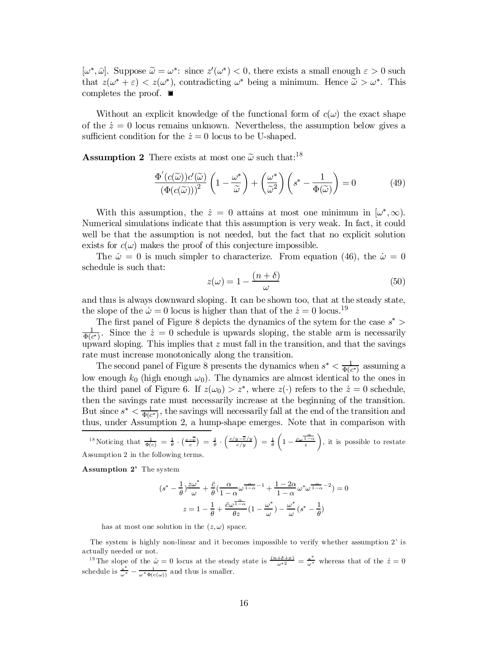$[\omega^*, \bar{\omega}]$ . Suppose  $\tilde{\omega} = \omega^*$ : since  $z'(\omega^*) < 0$ , there exists a small enough  $\varepsilon > 0$  such that that  $z(\omega^* + \varepsilon) < z(\omega^*)$ , contradicting  $\omega^*$  being a minimum. Hence  $\tilde{\omega} > \omega^*$ . This completes the proof. ■

Without an explicit knowledge of the functional form of  $c(\omega)$  the exact shape of the  $\dot{z} = 0$  locus remains unknown. Nevertheless, the assumption below gives a sufficient condition for the  $\dot{z} = 0$  locus to be U-shaped.

**Assumption 2** There exists at most one  $\tilde{\omega}$  such that:<sup>18</sup>

$$
\frac{\Phi'(c(\widetilde{\omega}))c'(\widetilde{\omega})}{(\Phi(c(\widetilde{\omega})))^2} \left(1 - \frac{\omega^*}{\widetilde{\omega}}\right) + \left(\frac{\omega^*}{\widetilde{\omega}^2}\right) \left(s^* - \frac{1}{\Phi(\widetilde{\omega})}\right) = 0 \tag{49}
$$

With this assumption, the  $\dot{z} = 0$  attains at most one minimum in  $[\omega^*, \infty)$ . Numerical simulations indicate that this assumption is very weak. In fact, it could well be that the assumption is not needed, but the fact that no explicit solution exists for  $c(\omega)$  makes the proof of this conjecture impossible.

The  $\dot{\omega} = 0$  is much simpler to characterize. From equation (46), the  $\dot{\omega} = 0$ schedule is such that:

$$
z(\omega) = 1 - \frac{(n+\delta)}{\omega} \tag{50}
$$

and thus is always downward sloping. It can be shown too, that at the steady state, the slope of the  $\dot{\omega} = 0$  locus is higher than that of the  $\dot{z} = 0$  locus.<sup>19</sup>

The first panel of Figure 8 depicts the dynamics of the sytem for the case  $s^*$ 1  $\frac{1}{\Phi(c^*)}$ . Since the  $\dot{z} = 0$  schedule is upwards sloping, the stable arm is necessarily upward sloping. This implies that  $z$  must fall in the transition, and that the savings rate must increase monotonically along the transition.

The second panel of Figure 8 presents the dynamics when  $s^* < \frac{1}{\Phi(s)}$  $\frac{1}{\Phi(c^*)}$  assuming a low enough  $k_0$  (high enough  $\omega_0$ ). The dynamics are almost identical to the ones in the third panel of Figure 6. If  $z(\omega_0) > z^*$ , where  $z(\cdot)$  refers to the  $z = 0$  schedule, then the savings rate must necessarily increase at the beginning of the transition. But since  $s^* < \frac{1}{\Phi(c^*)}$ , the savings will necessarily fall at the end of the transition and thus, under Assumption 2, a hump-shape emerges. Note that in comparison with

$$
{}^{18}\text{Noticing that } \frac{1}{\Phi(c)} = \frac{1}{\theta} \cdot \left(\frac{c-\overline{c}}{c}\right) = \frac{1}{\theta} \cdot \left(\frac{c/y - \overline{c}/y}{c/y}\right) = \frac{1}{\theta} \left(1 - \frac{\overline{c}\omega^{\frac{\alpha}{1-\alpha}}}{z}\right), \text{ it is possible to restate}
$$
  
Assumption 2 in the following terms.

Assumption 2' The system

$$
(s^* - \frac{1}{\theta})\frac{z\omega^*}{\omega} + \frac{\overline{c}}{\theta}(\frac{\alpha}{1-\alpha}\omega^{\frac{\alpha}{1-\alpha}-1} + \frac{1-2\alpha}{1-\alpha}\omega^*\omega^{\frac{\alpha}{1-\alpha}-2}) = 0
$$

$$
z = 1 - \frac{1}{\theta} + \frac{\overline{c}\omega^{\frac{\alpha}{1-\alpha}}}{\theta z}(1-\frac{\omega^*}{\omega}) - \frac{\omega^*}{\omega}(s^* - \frac{1}{\theta})
$$

has at most one solution in the  $(z, \omega)$  space.

The system is highly non-linear and it becomes impossible to verify whether assumption 2' is actually needed or not.

<sup>19</sup> The slope of the  $\dot{\omega} = 0$  locus at the steady state is  $\frac{(n+\delta+x)}{\omega^2} = \frac{s^*}{\omega^*}$  whereas that of the  $\dot{z} = 0$ schedule is  $\frac{s^*}{\omega^*} - \frac{1}{\omega^* \Phi(c(\omega))}$  and thus is smaller.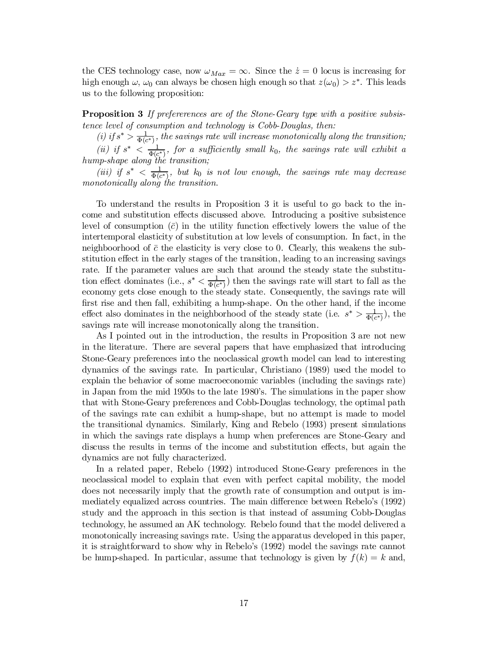the CES technology case, now  $\omega_{Max} = \infty$ . Since the  $\dot{z} = 0$  locus is increasing for high enough  $\omega$ ,  $\omega_0$  can always be chosen high enough so that  $z(\omega_0) > z^*$ . This leads us to the following proposition:

**Proposition 3** If preferences are of the Stone-Geary type with a positive subsistence level of consumption and technology is Cobb-Douglas, then:

(i) if  $s^* > \frac{1}{\Phi(s)}$  $\frac{1}{\Phi(c^*)}$ , the savings rate will increase monotonically along the transition;

(ii) if  $s^* < \frac{1}{\Phi(c^*)}$ , for a sufficiently small  $k_0$ , the savings rate will exhibit a hump-shape along the transition;

(iii) if  $s^* < \frac{1}{\Phi(s)}$  $\frac{1}{\Phi(c^*)}$ , but k<sub>0</sub> is not low enough, the savings rate may decrease monotonically along the transition.

To understand the results in Proposition 3 it is useful to go back to the income and substitution effects discussed above. Introducing a positive subsistence level of consumption  $(\bar{c})$  in the utility function effectively lowers the value of the intertemporal elasticity of substitution at low levels of consumption. In fact, in the neighboorhood of  $\bar{c}$  the elasticity is very close to 0. Clearly, this weakens the substitution effect in the early stages of the transition, leading to an increasing savings rate. If the parameter values are such that around the steady state the substitution effect dominates (i.e.,  $s^* < \frac{1}{\Phi(r)}$  $(\frac{1}{\Phi(c^*)})$  then the savings rate will start to fall as the economy gets close enough to the steady state. Consequently, the savings rate will first rise and then fall, exhibiting a hump-shape. On the other hand, if the income effect also dominates in the neighborhood of the steady state (i.e.  $s^* > \frac{1}{\Phi(c^*)}$ ), the savings rate will increase monotonically along the transition.

As I pointed out in the introduction, the results in Proposition 3 are not new in the literature. There are several papers that have emphasized that introducing Stone-Geary preferences into the neoclassical growth model can lead to interesting dynamics of the savings rate. In particular, Christiano (1989) used the model to explain the behavior of some macroeconomic variables (including the savings rate) in Japan from the mid 1950s to the late 1980's. The simulations in the paper show that with Stone-Geary preferences and Cobb-Douglas technology, the optimal path of the savings rate can exhibit a hump-shape, but no attempt is made to model the transitional dynamics. Similarly, King and Rebelo (1993) present simulations in which the savings rate displays a hump when preferences are Stone-Geary and discuss the results in terms of the income and substitution effects, but again the dynamics are not fully characterized.

In a related paper, Rebelo (1992) introduced Stone-Geary preferences in the neoclassical model to explain that even with perfect capital mobility, the model does not necessarily imply that the growth rate of consumption and output is immediately equalized across countries. The main difference between Rebelo's (1992) study and the approach in this section is that instead of assuming Cobb-Douglas technology, he assumed an AK technology. Rebelo found that the model delivered a monotonically increasing savings rate. Using the apparatus developed in this paper, it is straightforward to show why in Rebelo's (1992) model the savings rate cannot be hump-shaped. In particular, assume that technology is given by  $f(k) = k$  and,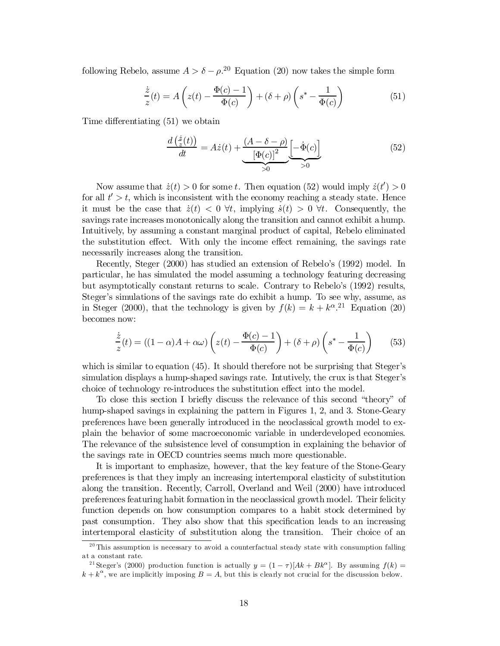following Rebelo, assume  $A > \delta - \rho^{20}$  Equation (20) now takes the simple form

$$
\frac{\dot{z}}{z}(t) = A\left(z(t) - \frac{\Phi(c) - 1}{\Phi(c)}\right) + (\delta + \rho)\left(s^* - \frac{1}{\Phi(c)}\right) \tag{51}
$$

Time differentiating  $(51)$  we obtain

$$
\frac{d\left(\frac{\dot{z}}{z}(t)\right)}{dt} = A\dot{z}(t) + \underbrace{\frac{(A - \delta - \rho)}{[\Phi(c)]^2} \left[-\dot{\Phi}(c)\right]}_{>0}
$$
(52)

Now assume that  $\dot{z}(t) > 0$  for some t. Then equation (52) would imply  $\dot{z}(t') > 0$ for all  $t' > t$ , which is inconsistent with the economy reaching a steady state. Hence it must be the case that  $\dot{z}(t) < 0 \ \forall t$ , implying  $\dot{s}(t) > 0 \ \forall t$ . Consequently, the savings rate increases monotonically along the transition and cannot exhibit a hump. Intuitively, by assuming a constant marginal product of capital, Rebelo eliminated the substitution effect. With only the income effect remaining, the savings rate necessarily increases along the transition.

Recently, Steger (2000) has studied an extension of Rebelo's (1992) model. In particular, he has simulated the model assuming a technology featuring decreasing but asymptotically constant returns to scale. Contrary to Rebelo's (1992) results, Steger's simulations of the savings rate do exhibit a hump. To see why, assume, as in Steger (2000), that the technology is given by  $f(k) = k + k^{\alpha}$ .<sup>21</sup> Equation (20) becomes now:

$$
\frac{\dot{z}}{z}(t) = ((1 - \alpha)A + \alpha\omega) \left( z(t) - \frac{\Phi(c) - 1}{\Phi(c)} \right) + (\delta + \rho) \left( s^* - \frac{1}{\Phi(c)} \right) \tag{53}
$$

which is similar to equation (45). It should therefore not be surprising that Steger's simulation displays a hump-shaped savings rate. Intutively, the crux is that Steger's choice of technology re-introduces the substitution effect into the model.

To close this section I brie‡y discuss the relevance of this second "theory" of hump-shaped savings in explaining the pattern in Figures 1, 2, and 3. Stone-Geary preferences have been generally introduced in the neoclassical growth model to explain the behavior of some macroeconomic variable in underdeveloped economies. The relevance of the subsistence level of consumption in explaining the behavior of the savings rate in OECD countries seems much more questionable.

It is important to emphasize, however, that the key feature of the Stone-Geary preferences is that they imply an increasing intertemporal elasticity of substitution along the transition. Recently, Carroll, Overland and Weil (2000) have introduced preferences featuring habit formation in the neoclassical growth model. Their felicity function depends on how consumption compares to a habit stock determined by past consumption. They also show that this specification leads to an increasing intertemporal elasticity of substitution along the transition. Their choice of an

 $20$ <sup>20</sup> This assumption is necessary to avoid a counterfactual steady state with consumption falling at a constant rate.

<sup>&</sup>lt;sup>21</sup> Steger's (2000) production function is actually  $y = (1 - \tau)[Ak + Bk^{\alpha}]$ . By assuming  $f(k) =$  $k + k^{\alpha}$ , we are implicitly imposing  $B = A$ , but this is clearly not crucial for the discussion below.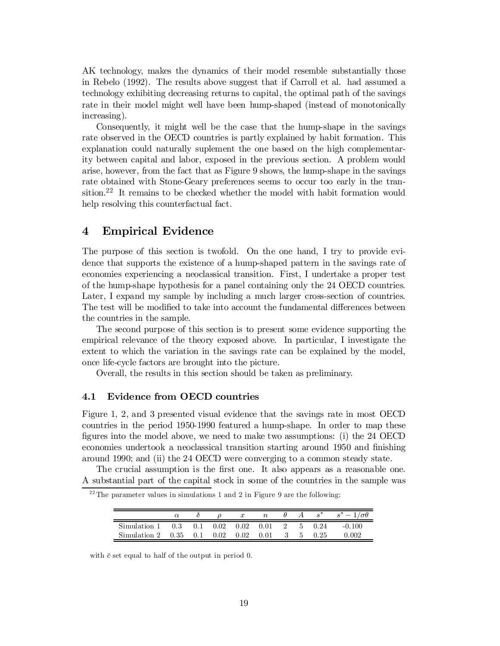AK technology, makes the dynamics of their model resemble substantially those in Rebelo (1992). The results above suggest that if Carroll et al. had assumed a technology exhibiting decreasing returns to capital, the optimal path of the savings rate in their model might well have been hump-shaped (instead of monotonically increasing).

Consequently, it might well be the case that the hump-shape in the savings rate observed in the OECD countries is partly explained by habit formation. This explanation could naturally suplement the one based on the high complementarity between capital and labor, exposed in the previous section. A problem would arise, however, from the fact that as Figure 9 shows, the hump-shape in the savings rate obtained with Stone-Geary preferences seems to occur too early in the transition.<sup>22</sup> It remains to be checked whether the model with habit formation would help resolving this counterfactual fact.

# 4 Empirical Evidence

The purpose of this section is twofold. On the one hand, I try to provide evidence that supports the existence of a hump-shaped pattern in the savings rate of economies experiencing a neoclassical transition. First, I undertake a proper test of the hump-shape hypothesis for a panel containing only the 24 OECD countries. Later, I expand my sample by including a much larger cross-section of countries. The test will be modified to take into account the fundamental differences between the countries in the sample.

The second purpose of this section is to present some evidence supporting the empirical relevance of the theory exposed above. In particular, I investigate the extent to which the variation in the savings rate can be explained by the model, once life-cycle factors are brought into the picture.

Overall, the results in this section should be taken as preliminary.

#### 4.1 Evidence from OECD countries

Figure 1, 2, and 3 presented visual evidence that the savings rate in most OECD countries in the period 1950-1990 featured a hump-shape. In order to map these figures into the model above, we need to make two assumptions: (i) the  $24$  OECD economies undertook a neoclassical transition starting around 1950 and finishing around 1990; and (ii) the 24 OECD were converging to a common steady state.

The crucial assumption is the first one. It also appears as a reasonable one. A substantial part of the capital stock in some of the countries in the sample was

|  |  | $22$ The parameter values in simulations 1 and 2 in Figure 9 are the following: |  |  |  |  |  |
|--|--|---------------------------------------------------------------------------------|--|--|--|--|--|
|  |  |                                                                                 |  |  |  |  |  |

|                                                                      | $\alpha$ |  | $\rho$ x n |  | $\theta$ A $s^*$ | $s^* - 1/\sigma\theta$ |
|----------------------------------------------------------------------|----------|--|------------|--|------------------|------------------------|
| Simulation 1 $(0.3 \t 0.1 \t 0.02 \t 0.02 \t 0.01 \t 2 \t 5 \t 0.24$ |          |  |            |  |                  | $-0.100$               |
| Simulation 2 0.35 0.1 0.02 0.02 0.01 3 5 0.25                        |          |  |            |  |                  | 0.002                  |

with  $\bar{c}$  set equal to half of the output in period 0.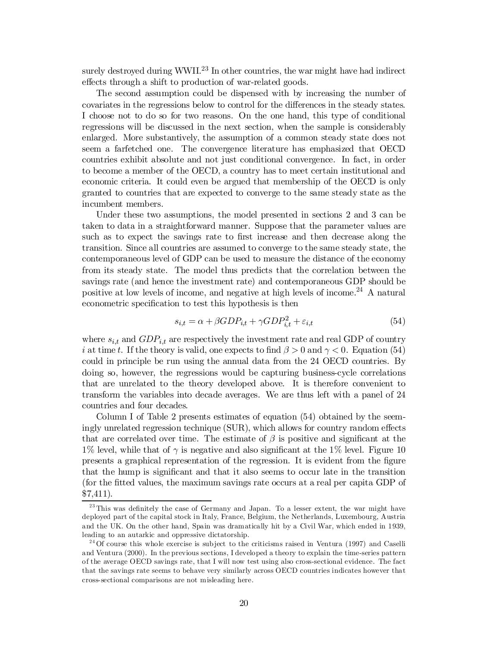surely destroyed during WWII.<sup>23</sup> In other countries, the war might have had indirect effects through a shift to production of war-related goods.

The second assumption could be dispensed with by increasing the number of covariates in the regressions below to control for the differences in the steady states. I choose not to do so for two reasons. On the one hand, this type of conditional regressions will be discussed in the next section, when the sample is considerably enlarged. More substantively, the assumption of a common steady state does not seem a farfetched one. The convergence literature has emphasized that OECD countries exhibit absolute and not just conditional convergence. In fact, in order to become a member of the OECD, a country has to meet certain institutional and economic criteria. It could even be argued that membership of the OECD is only granted to countries that are expected to converge to the same steady state as the incumbent members.

Under these two assumptions, the model presented in sections 2 and 3 can be taken to data in a straightforward manner. Suppose that the parameter values are such as to expect the savings rate to first increase and then decrease along the transition. Since all countries are assumed to converge to the same steady state, the contemporaneous level of GDP can be used to measure the distance of the economy from its steady state. The model thus predicts that the correlation between the savings rate (and hence the investment rate) and contemporaneous GDP should be positive at low levels of income, and negative at high levels of income. <sup>24</sup> A natural econometric specification to test this hypothesis is then

$$
s_{i,t} = \alpha + \beta GDP_{i,t} + \gamma GDP_{i,t}^2 + \varepsilon_{i,t}
$$
\n
$$
(54)
$$

where  $s_{i,t}$  and  $GDP_{i,t}$  are respectively the investment rate and real GDP of country i at time t. If the theory is valid, one expects to find  $\beta > 0$  and  $\gamma < 0$ . Equation (54) could in principle be run using the annual data from the 24 OECD countries. By doing so, however, the regressions would be capturing business-cycle correlations that are unrelated to the theory developed above. It is therefore convenient to transform the variables into decade averages. We are thus left with a panel of 24 countries and four decades.

Column I of Table 2 presents estimates of equation (54) obtained by the seemingly unrelated regression technique (SUR), which allows for country random effects that are correlated over time. The estimate of  $\beta$  is positive and significant at the  $1\%$  level, while that of  $\gamma$  is negative and also significant at the 1% level. Figure 10 presents a graphical representation of the regression. It is evident from the figure that the hump is significant and that it also seems to occur late in the transition (for the fitted values, the maximum savings rate occurs at a real per capita GDP of \$7,411).

 $^{23}$ This was definitely the case of Germany and Japan. To a lesser extent, the war might have deployed part of the capital stock in Italy, France, Belgium, the Netherlands, Luxembourg, Austria and the UK. On the other hand, Spain was dramatically hit by a Civil War, which ended in 1939, leading to an autarkic and oppressive dictatorship.

<sup>&</sup>lt;sup>24</sup> Of course this whole exercise is subject to the criticisms raised in Ventura (1997) and Caselli and Ventura (2000). In the previous sections, I developed a theory to explain the time-series pattern of the average OECD savings rate, that I will now test using also cross-sectional evidence. The fact that the savings rate seems to behave very similarly across OECD countries indicates however that cross-sectional comparisons are not misleading here.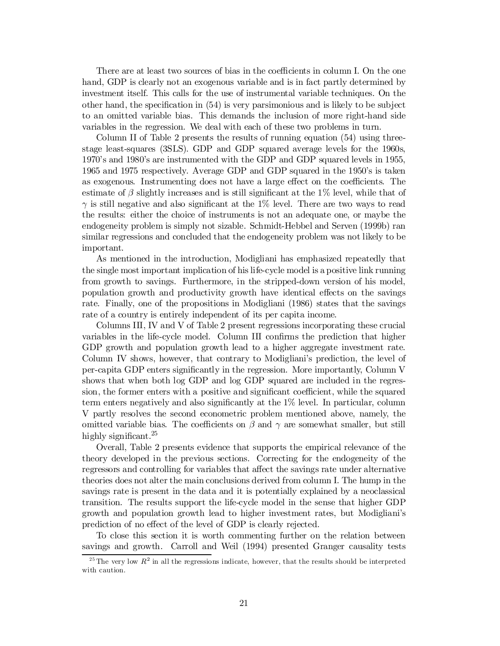There are at least two sources of bias in the coefficients in column I. On the one hand, GDP is clearly not an exogenous variable and is in fact partly determined by investment itself. This calls for the use of instrumental variable techniques. On the other hand, the specification in  $(54)$  is very parsimonious and is likely to be subject to an omitted variable bias. This demands the inclusion of more right-hand side variables in the regression. We deal with each of these two problems in turn.

Column II of Table 2 presents the results of running equation (54) using threestage least-squares (3SLS). GDP and GDP squared average levels for the 1960s, 1970's and 1980's are instrumented with the GDP and GDP squared levels in 1955, 1965 and 1975 respectively. Average GDP and GDP squared in the 1950's is taken as exogenous. Instrumenting does not have a large effect on the coefficients. The estimate of  $\beta$  slightly increases and is still significant at the 1% level, while that of  $\gamma$  is still negative and also significant at the 1% level. There are two ways to read the results: either the choice of instruments is not an adequate one, or maybe the endogeneity problem is simply not sizable. Schmidt-Hebbel and Serven (1999b) ran similar regressions and concluded that the endogeneity problem was not likely to be important.

As mentioned in the introduction, Modigliani has emphasized repeatedly that the single most important implication of his life-cycle model is a positive link running from growth to savings. Furthermore, in the stripped-down version of his model, population growth and productivity growth have identical effects on the savings rate. Finally, one of the propositions in Modigliani (1986) states that the savings rate of a country is entirely independent of its per capita income.

Columns III, IV and V of Table 2 present regressions incorporating these crucial variables in the life-cycle model. Column III confirms the prediction that higher GDP growth and population growth lead to a higher aggregate investment rate. Column IV shows, however, that contrary to Modigliani's prediction, the level of per-capita GDP enters significantly in the regression. More importantly, Column V shows that when both log GDP and log GDP squared are included in the regression, the former enters with a positive and significant coefficient, while the squared term enters negatively and also significantly at the  $1\%$  level. In particular, column V partly resolves the second econometric problem mentioned above, namely, the omitted variable bias. The coefficients on  $\beta$  and  $\gamma$  are somewhat smaller, but still highly significant.<sup>25</sup>

Overall, Table 2 presents evidence that supports the empirical relevance of the theory developed in the previous sections. Correcting for the endogeneity of the regressors and controlling for variables that affect the savings rate under alternative theories does not alter the main conclusions derived from column I. The hump in the savings rate is present in the data and it is potentially explained by a neoclassical transition. The results support the life-cycle model in the sense that higher GDP growth and population growth lead to higher investment rates, but Modigliani's prediction of no effect of the level of GDP is clearly rejected.

To close this section it is worth commenting further on the relation between savings and growth. Carroll and Weil (1994) presented Granger causality tests

<sup>&</sup>lt;sup>25</sup> The very low  $R^2$  in all the regressions indicate, however, that the results should be interpreted with caution.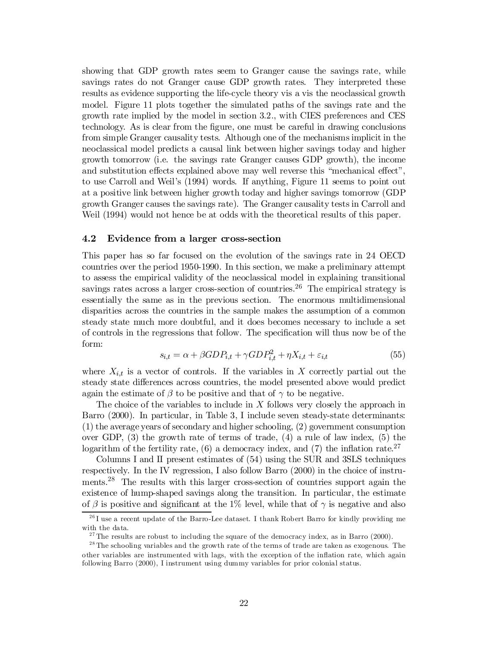showing that GDP growth rates seem to Granger cause the savings rate, while savings rates do not Granger cause GDP growth rates. They interpreted these results as evidence supporting the life-cycle theory vis a vis the neoclassical growth model. Figure 11 plots together the simulated paths of the savings rate and the growth rate implied by the model in section 3.2., with CIES preferences and CES technology. As is clear from the figure, one must be careful in drawing conclusions from simple Granger causality tests. Although one of the mechanisms implicit in the neoclassical model predicts a causal link between higher savings today and higher growth tomorrow (i.e. the savings rate Granger causes GDP growth), the income and substitution effects explained above may well reverse this "mechanical effect", to use Carroll and Weil's (1994) words. If anything, Figure 11 seems to point out at a positive link between higher growth today and higher savings tomorrow (GDP growth Granger causes the savings rate). The Granger causality tests in Carroll and Weil (1994) would not hence be at odds with the theoretical results of this paper.

#### 4.2 Evidence from a larger cross-section

This paper has so far focused on the evolution of the savings rate in 24 OECD countries over the period 1950-1990. In this section, we make a preliminary attempt to assess the empirical validity of the neoclassical model in explaining transitional savings rates across a larger cross-section of countries.<sup>26</sup> The empirical strategy is essentially the same as in the previous section. The enormous multidimensional disparities across the countries in the sample makes the assumption of a common steady state much more doubtful, and it does becomes necessary to include a set of controls in the regressions that follow. The specification will thus now be of the form:

$$
s_{i,t} = \alpha + \beta GDP_{i,t} + \gamma GDP_{i,t}^2 + \eta X_{i,t} + \varepsilon_{i,t}
$$
\n
$$
\tag{55}
$$

where  $X_{i,t}$  is a vector of controls. If the variables in X correctly partial out the steady state differences across countries, the model presented above would predict again the estimate of  $\beta$  to be positive and that of  $\gamma$  to be negative.

The choice of the variables to include in  $X$  follows very closely the approach in Barro (2000). In particular, in Table 3, I include seven steady-state determinants: (1) the average years of secondary and higher schooling, (2) government consumption over GDP,  $(3)$  the growth rate of terms of trade,  $(4)$  a rule of law index,  $(5)$  the logarithm of the fertility rate,  $(6)$  a democracy index, and  $(7)$  the inflation rate.<sup>27</sup>

Columns I and II present estimates of (54) using the SUR and 3SLS techniques respectively. In the IV regression, I also follow Barro (2000) in the choice of instruments.<sup>28</sup> The results with this larger cross-section of countries support again the existence of hump-shaped savings along the transition. In particular, the estimate of  $\beta$  is positive and significant at the 1% level, while that of  $\gamma$  is negative and also

 $^{26}$ I use a recent update of the Barro-Lee dataset. I thank Robert Barro for kindly providing me with the data.

<sup>&</sup>lt;sup>27</sup> The results are robust to including the square of the democracy index, as in Barro (2000).

<sup>&</sup>lt;sup>28</sup> The schooling variables and the growth rate of the terms of trade are taken as exogenous. The other variables are instrumented with lags, with the exception of the inflation rate, which again following Barro (2000), I instrument using dummy variables for prior colonial status.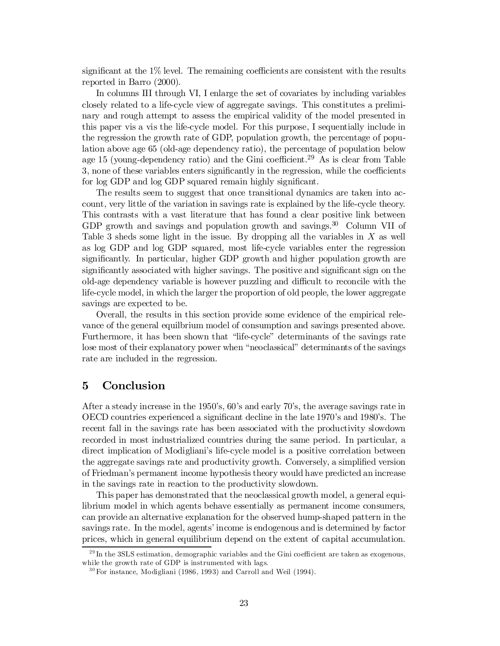significant at the  $1\%$  level. The remaining coefficients are consistent with the results reported in Barro (2000).

In columns III through VI, I enlarge the set of covariates by including variables closely related to a life-cycle view of aggregate savings. This constitutes a preliminary and rough attempt to assess the empirical validity of the model presented in this paper vis a vis the life-cycle model. For this purpose, I sequentially include in the regression the growth rate of GDP, population growth, the percentage of population above age 65 (old-age dependency ratio), the percentage of population below age 15 (young-dependency ratio) and the Gini coefficient.<sup>29</sup> As is clear from Table 3, none of these variables enters significantly in the regression, while the coefficients for log GDP and log GDP squared remain highly significant.

The results seem to suggest that once transitional dynamics are taken into account, very little of the variation in savings rate is explained by the life-cycle theory. This contrasts with a vast literature that has found a clear positive link between GDP growth and savings and population growth and savings.<sup>30</sup> Column VII of Table 3 sheds some light in the issue. By dropping all the variables in  $X$  as well as log GDP and log GDP squared, most life-cycle variables enter the regression significantly. In particular, higher GDP growth and higher population growth are significantly associated with higher savings. The positive and significant sign on the old-age dependency variable is however puzzling and difficult to reconcile with the life-cycle model, in which the larger the proportion of old people, the lower aggregate savings are expected to be.

Overall, the results in this section provide some evidence of the empirical relevance of the general equilbrium model of consumption and savings presented above. Furthermore, it has been shown that "life-cycle" determinants of the savings rate lose most of their explanatory power when "neoclassical" determinants of the savings rate are included in the regression.

# 5 Conclusion

After a steady increase in the 1950's, 60's and early 70's, the average savings rate in OECD countries experienced a significant decline in the late 1970's and 1980's. The recent fall in the savings rate has been associated with the productivity slowdown recorded in most industrialized countries during the same period. In particular, a direct implication of Modigliani's life-cycle model is a positive correlation between the aggregate savings rate and productivity growth. Conversely, a simplified version of Friedman's permanent income hypothesis theory would have predicted an increase in the savings rate in reaction to the productivity slowdown.

This paper has demonstrated that the neoclassical growth model, a general equilibrium model in which agents behave essentially as permanent income consumers, can provide an alternative explanation for the observed hump-shaped pattern in the savings rate. In the model, agents' income is endogenous and is determined by factor prices, which in general equilibrium depend on the extent of capital accumulation.

 $^{29}$ In the 3SLS estimation, demographic variables and the Gini coefficient are taken as exogenous, while the growth rate of GDP is instrumented with lags.

 $30$  For instance, Modigliani (1986, 1993) and Carroll and Weil (1994).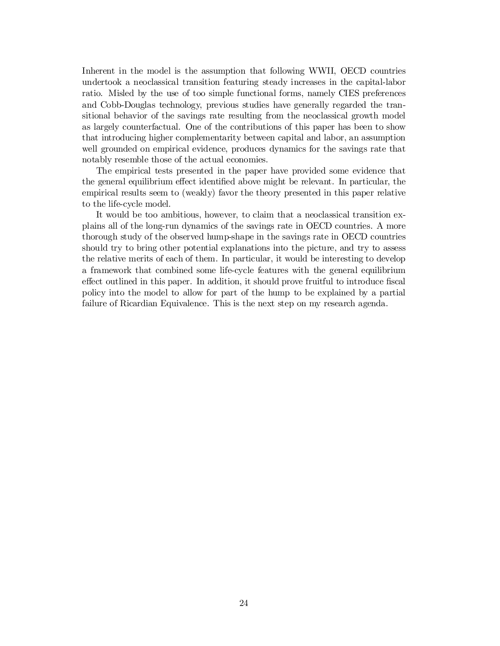Inherent in the model is the assumption that following WWII, OECD countries undertook a neoclassical transition featuring steady increases in the capital-labor ratio. Misled by the use of too simple functional forms, namely CIES preferences and Cobb-Douglas technology, previous studies have generally regarded the transitional behavior of the savings rate resulting from the neoclassical growth model as largely counterfactual. One of the contributions of this paper has been to show that introducing higher complementarity between capital and labor, an assumption well grounded on empirical evidence, produces dynamics for the savings rate that notably resemble those of the actual economies.

The empirical tests presented in the paper have provided some evidence that the general equilibrium effect identified above might be relevant. In particular, the empirical results seem to (weakly) favor the theory presented in this paper relative to the life-cycle model.

It would be too ambitious, however, to claim that a neoclassical transition explains all of the long-run dynamics of the savings rate in OECD countries. A more thorough study of the observed hump-shape in the savings rate in OECD countries should try to bring other potential explanations into the picture, and try to assess the relative merits of each of them. In particular, it would be interesting to develop a framework that combined some life-cycle features with the general equilibrium effect outlined in this paper. In addition, it should prove fruitful to introduce fiscal policy into the model to allow for part of the hump to be explained by a partial failure of Ricardian Equivalence. This is the next step on my research agenda.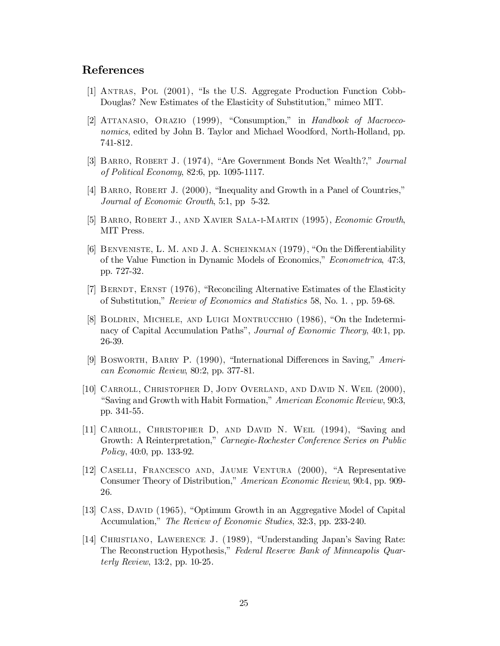### References

- [1] Antras, Pol (2001), "Is the U.S. Aggregate Production Function Cobb-Douglas? New Estimates of the Elasticity of Substitution," mimeo MIT.
- [2] ATTANASIO, ORAZIO (1999), "Consumption," in Handbook of Macroeconomics, edited by John B. Taylor and Michael Woodford, North-Holland, pp. 741-812.
- [3] BARRO, ROBERT J. (1974), "Are Government Bonds Net Wealth?," Journal of Political Economy, 82:6, pp. 1095-1117.
- [4] BARRO, ROBERT J. (2000), "Inequality and Growth in a Panel of Countries," Journal of Economic Growth, 5:1, pp 5-32.
- [5] Barro, Robert J., and Xavier Sala-i-Martin (1995), Economic Growth, MIT Press.
- [6] BENVENISTE, L. M. AND J. A. SCHEINKMAN (1979), "On the Differentiability of the Value Function in Dynamic Models of Economics," Econometrica, 47:3, pp. 727-32.
- [7] Berndt, Ernst (1976), "Reconciling Alternative Estimates of the Elasticity of Substitution," Review of Economics and Statistics 58, No. 1. , pp. 59-68.
- [8] Boldrin, Michele, and Luigi Montrucchio (1986), "On the Indeterminacy of Capital Accumulation Paths", Journal of Economic Theory, 40:1, pp. 26-39.
- [9] BOSWORTH, BARRY P. (1990), "International Differences in Saving," American Economic Review, 80:2, pp. 377-81.
- [10] Carroll, Christopher D, Jody Overland, and David N. Weil (2000), "Saving and Growth with Habit Formation," American Economic Review, 90:3, pp. 341-55.
- [11] CARROLL, CHRISTOPHER D, AND DAVID N. WEIL (1994), "Saving and Growth: A Reinterpretation," Carnegie-Rochester Conference Series on Public Policy, 40:0, pp. 133-92.
- [12] Caselli, Francesco and, Jaume Ventura (2000), "A Representative Consumer Theory of Distribution," American Economic Review, 90:4, pp. 909- 26.
- [13] CASS, DAVID (1965), "Optimum Growth in an Aggregative Model of Capital Accumulation," The Review of Economic Studies, 32:3, pp. 233-240.
- [14] Christiano, Lawerence J. (1989), "Understanding Japan's Saving Rate: The Reconstruction Hypothesis," Federal Reserve Bank of Minneapolis Quarterly Review, 13:2, pp. 10-25.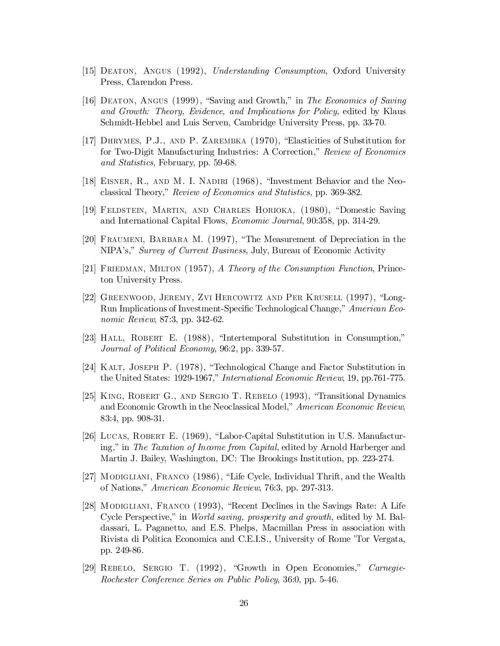- [15] Deaton, Angus (1992), Understanding Consumption, Oxford University Press, Clarendon Press.
- [16] Deaton, Angus (1999), "Saving and Growth," in The Economics of Saving and Growth: Theory, Evidence, and Implications for Policy, edited by Klaus Schmidt-Hebbel and Luis Serven, Cambridge University Press, pp. 33-70.
- [17] Dhrymes, P.J., and P. Zarembka (1970), "Elasticities of Substitution for for Two-Digit Manufacturing Industries: A Correction," Review of Economics and Statistics, February, pp. 59-68.
- [18] Eisner, R., and M. I. Nadiri (1968), "Investment Behavior and the Neoclassical Theory," Review of Economics and Statistics, pp. 369-382.
- [19] Feldstein, Martin, and Charles Horioka, (1980), "Domestic Saving and International Capital Flows, Economic Journal, 90:358, pp. 314-29.
- [20] Fraumeni, Barbara M. (1997), "The Measurement of Depreciation in the NIPA's," Survey of Current Business, July, Bureau of Economic Activity
- [21] FRIEDMAN, MILTON (1957), A Theory of the Consumption Function, Princeton University Press.
- [22] Greenwood, Jeremy, Zvi Hercowitz and Per Krusell (1997), "Long-Run Implications of Investment-Specific Technological Change," American Economic Review, 87:3, pp. 342-62.
- [23] Hall, Robert E. (1988), "Intertemporal Substitution in Consumption," Journal of Political Economy, 96:2, pp. 339-57.
- [24] Kalt, Joseph P. (1978), "Technological Change and Factor Substitution in the United States: 1929-1967," International Economic Review, 19, pp.761-775.
- [25] KING, ROBERT G., AND SERGIO T. REBELO (1993), "Transitional Dynamics and Economic Growth in the Neoclassical Model," American Economic Review, 83:4, pp. 908-31.
- [26] Lucas, Robert E. (1969), "Labor-Capital Substitution in U.S. Manufacturing," in The Taxation of Income from Capital, edited by Arnold Harberger and Martin J. Bailey, Washington, DC: The Brookings Institution, pp. 223-274.
- [27] Modigliani, Franco (1986), "Life Cycle, Individual Thrift, and the Wealth of Nations," American Economic Review, 76:3, pp. 297-313.
- [28] Modigliani, Franco (1993), "Recent Declines in the Savings Rate: A Life Cycle Perspective," in World saving, prosperity and growth, edited by M. Baldassari, L. Paganetto, and E.S. Phelps, Macmillan Press in association with Rivista di Politica Economica and C.E.I.S., University of Rome 'Tor Vergata, pp. 249-86.
- [29] REBELO, SERGIO T. (1992), "Growth in Open Economies," Carnegie-Rochester Conference Series on Public Policy, 36:0, pp. 5-46.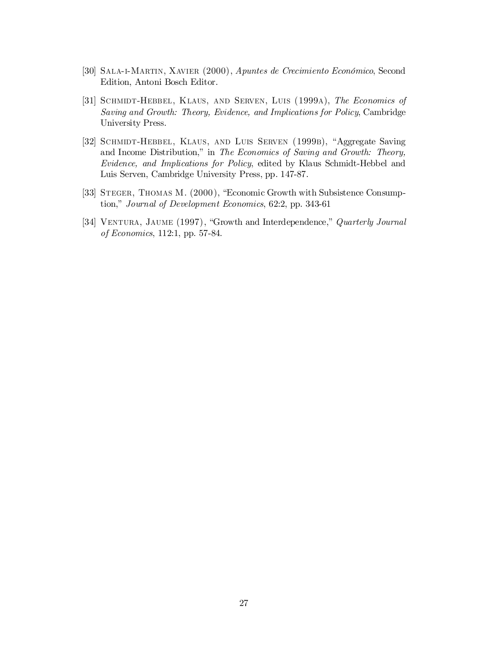- [30] Sala-i-Martin, Xavier (2000), Apuntes de Crecimiento Económico, Second Edition, Antoni Bosch Editor.
- [31] SCHMIDT-HEBBEL, KLAUS, AND SERVEN, LUIS (1999A), The Economics of Saving and Growth: Theory, Evidence, and Implications for Policy, Cambridge University Press.
- [32] SCHMIDT-HEBBEL, KLAUS, AND LUIS SERVEN (1999B), "Aggregate Saving and Income Distribution," in The Economics of Saving and Growth: Theory, Evidence, and Implications for Policy, edited by Klaus Schmidt-Hebbel and Luis Serven, Cambridge University Press, pp. 147-87.
- [33] STEGER, THOMAS M. (2000), "Economic Growth with Subsistence Consumption," Journal of Development Economics, 62:2, pp. 343-61
- [34] VENTURA, JAUME (1997), "Growth and Interdependence," Quarterly Journal of Economics, 112:1, pp. 57-84.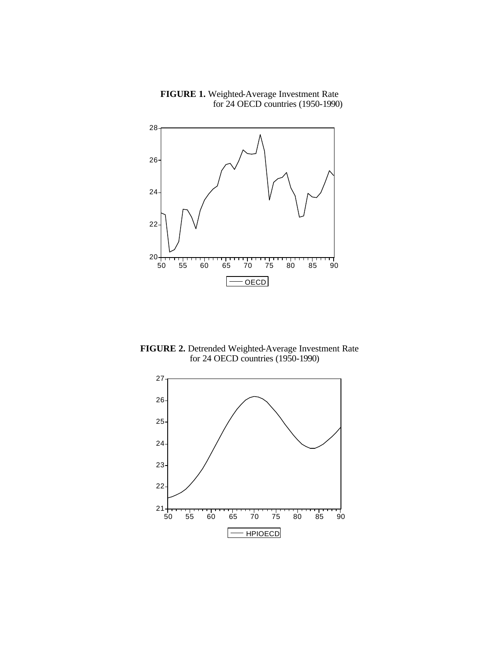

**FIGURE 1.** Weighted-Average Investment Rate for 24 OECD countries (1950-1990)

**FIGURE 2.** Detrended Weighted-Average Investment Rate for 24 OECD countries (1950-1990)

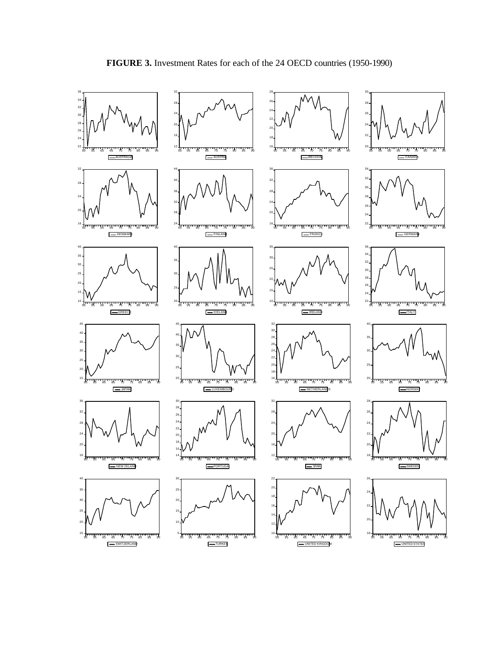

**FIGURE 3.** Investment Rates for each of the 24 OECD countries (1950-1990)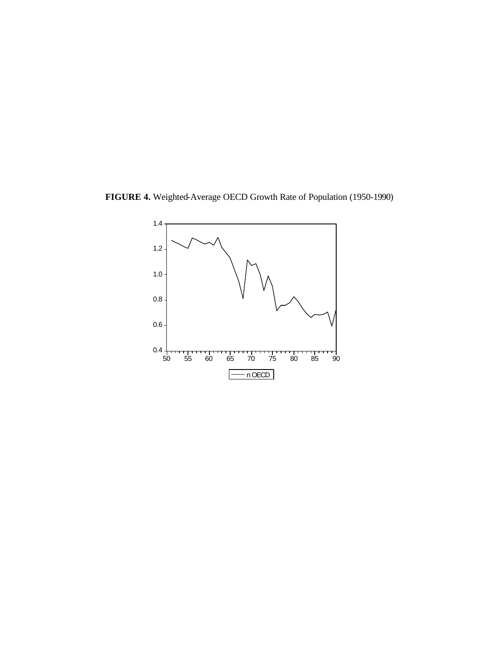

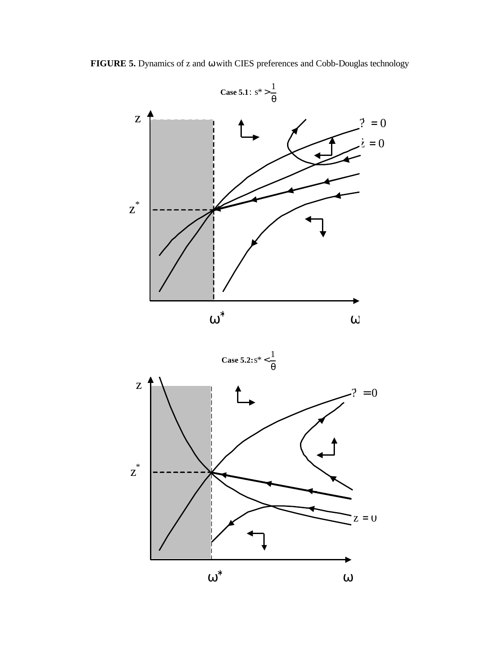

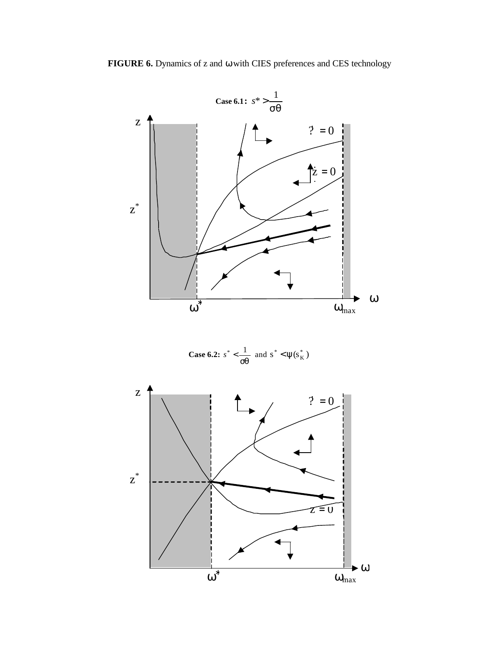

**Case 6.2:** 
$$
s^* < \frac{1}{sq}
$$
 and  $s^* < \psi(s_K^*)$ 

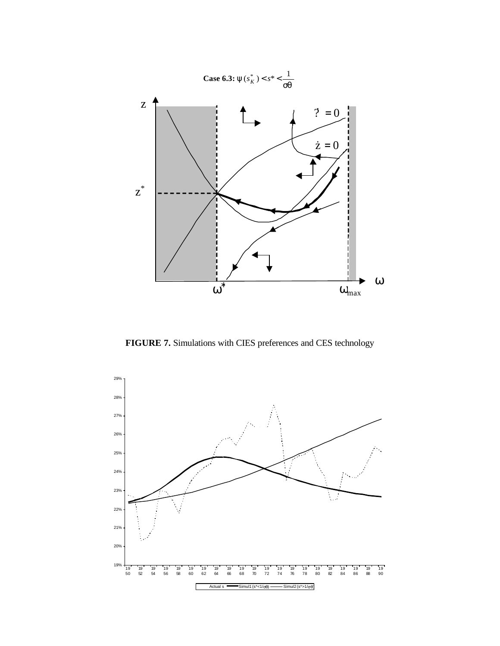

**FIGURE 7.** Simulations with CIES preferences and CES technology

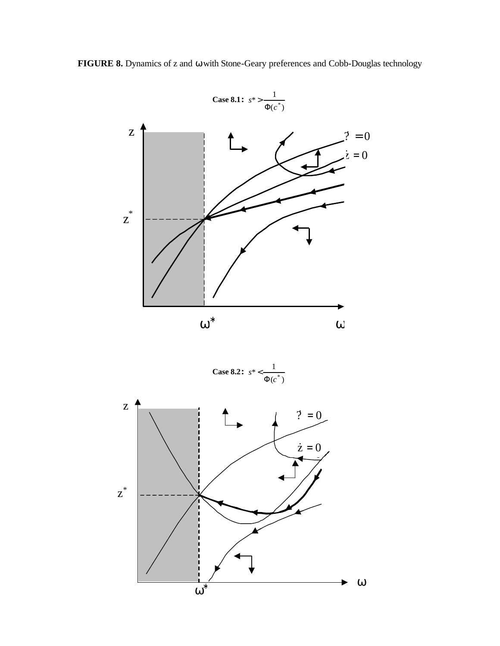**FIGURE 8.** Dynamics of z and ω with Stone-Geary preferences and Cobb-Douglas technology





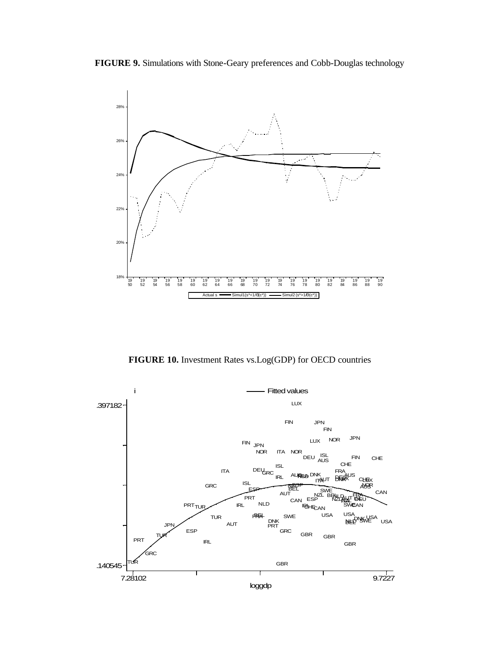



**FIGURE 10.** Investment Rates vs.Log(GDP) for OECD countries

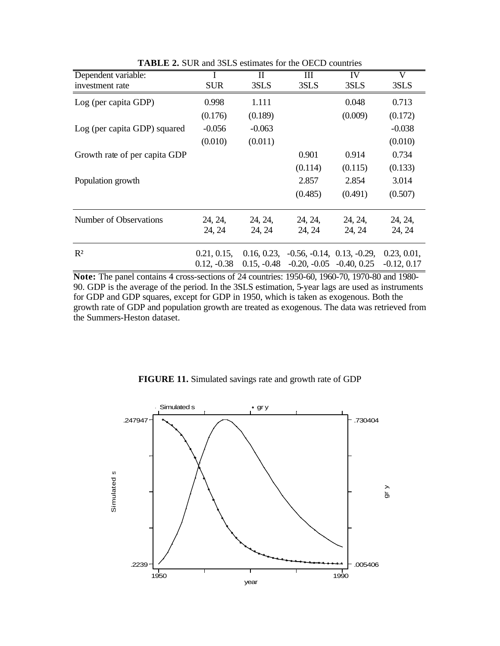| Dependent variable:           |               | П             | Ш                            | IV      | V             |
|-------------------------------|---------------|---------------|------------------------------|---------|---------------|
| investment rate               | <b>SUR</b>    | 3SLS          | 3SLS                         | 3SLS    | 3SLS          |
| Log (per capita GDP)          | 0.998         | 1.111         |                              | 0.048   | 0.713         |
|                               | (0.176)       | (0.189)       |                              | (0.009) | (0.172)       |
| Log (per capita GDP) squared  | $-0.056$      | $-0.063$      |                              |         | $-0.038$      |
|                               | (0.010)       | (0.011)       |                              |         | (0.010)       |
| Growth rate of per capita GDP |               |               | 0.901                        | 0.914   | 0.734         |
|                               |               |               | (0.114)                      | (0.115) | (0.133)       |
| Population growth             |               |               | 2.857                        | 2.854   | 3.014         |
|                               |               |               | (0.485)                      | (0.491) | (0.507)       |
| Number of Observations        | 24, 24,       | 24, 24,       | 24, 24,                      | 24, 24, | 24, 24,       |
|                               | 24, 24        | 24, 24        | 24, 24                       | 24, 24  | 24, 24        |
| $R^2$                         | 0.21, 0.15,   | 0.16, 0.23,   | $-0.56, -0.14, 0.13, -0.29,$ |         | 0.23, 0.01,   |
|                               | $0.12, -0.38$ | $0.15, -0.48$ | $-0.20, -0.05, -0.40, 0.25$  |         | $-0.12, 0.17$ |

**TABLE 2.** SUR and 3SLS estimates for the OECD countries

**Note:** The panel contains 4 cross-sections of 24 countries: 1950-60, 1960-70, 1970-80 and 1980- 90. GDP is the average of the period. In the 3SLS estimation, 5-year lags are used as instruments for GDP and GDP squares, except for GDP in 1950, which is taken as exogenous. Both the growth rate of GDP and population growth are treated as exogenous. The data was retrieved from the Summers-Heston dataset.



**FIGURE 11.** Simulated savings rate and growth rate of GDP